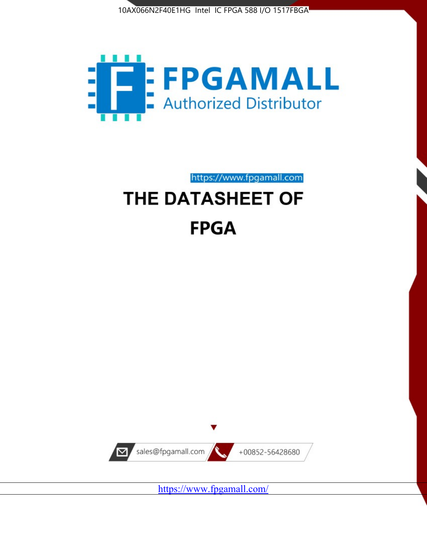



https://www.fpgamall.com THE DATASHEET OF

# **FPGA**



<https://www.fpgamall.com/>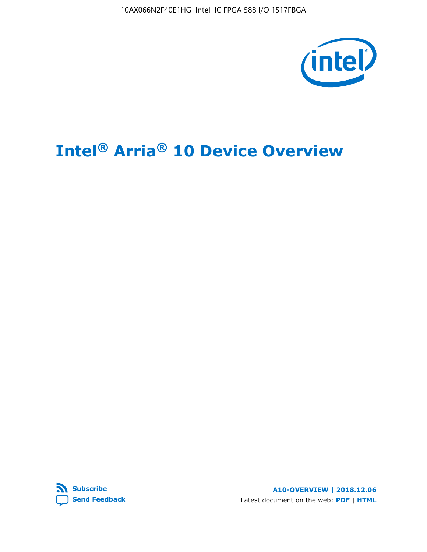10AX066N2F40E1HG Intel IC FPGA 588 I/O 1517FBGA



# **Intel® Arria® 10 Device Overview**



**A10-OVERVIEW | 2018.12.06** Latest document on the web: **[PDF](https://www.intel.com/content/dam/www/programmable/us/en/pdfs/literature/hb/arria-10/a10_overview.pdf)** | **[HTML](https://www.intel.com/content/www/us/en/programmable/documentation/sam1403480274650.html)**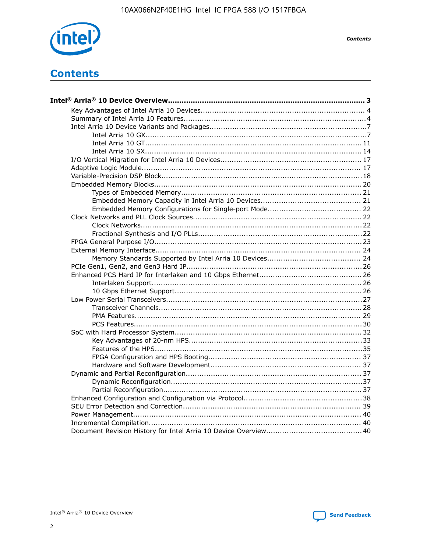

**Contents** 

# **Contents**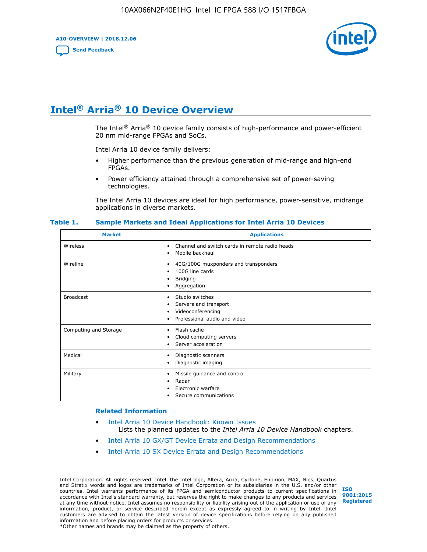**A10-OVERVIEW | 2018.12.06**

**[Send Feedback](mailto:FPGAtechdocfeedback@intel.com?subject=Feedback%20on%20Intel%20Arria%2010%20Device%20Overview%20(A10-OVERVIEW%202018.12.06)&body=We%20appreciate%20your%20feedback.%20In%20your%20comments,%20also%20specify%20the%20page%20number%20or%20paragraph.%20Thank%20you.)**



# **Intel® Arria® 10 Device Overview**

The Intel<sup>®</sup> Arria<sup>®</sup> 10 device family consists of high-performance and power-efficient 20 nm mid-range FPGAs and SoCs.

Intel Arria 10 device family delivers:

- Higher performance than the previous generation of mid-range and high-end FPGAs.
- Power efficiency attained through a comprehensive set of power-saving technologies.

The Intel Arria 10 devices are ideal for high performance, power-sensitive, midrange applications in diverse markets.

| <b>Market</b>         | <b>Applications</b>                                                                                               |
|-----------------------|-------------------------------------------------------------------------------------------------------------------|
| Wireless              | Channel and switch cards in remote radio heads<br>٠<br>Mobile backhaul<br>٠                                       |
| Wireline              | 40G/100G muxponders and transponders<br>٠<br>100G line cards<br>٠<br><b>Bridging</b><br>٠<br>Aggregation<br>٠     |
| <b>Broadcast</b>      | Studio switches<br>٠<br>Servers and transport<br>٠<br>Videoconferencing<br>٠<br>Professional audio and video<br>٠ |
| Computing and Storage | Flash cache<br>٠<br>Cloud computing servers<br>٠<br>Server acceleration<br>٠                                      |
| Medical               | Diagnostic scanners<br>٠<br>Diagnostic imaging<br>٠                                                               |
| Military              | Missile guidance and control<br>٠<br>Radar<br>٠<br>Electronic warfare<br>٠<br>Secure communications<br>٠          |

#### **Table 1. Sample Markets and Ideal Applications for Intel Arria 10 Devices**

#### **Related Information**

- [Intel Arria 10 Device Handbook: Known Issues](http://www.altera.com/support/kdb/solutions/rd07302013_646.html) Lists the planned updates to the *Intel Arria 10 Device Handbook* chapters.
- [Intel Arria 10 GX/GT Device Errata and Design Recommendations](https://www.intel.com/content/www/us/en/programmable/documentation/agz1493851706374.html#yqz1494433888646)
- [Intel Arria 10 SX Device Errata and Design Recommendations](https://www.intel.com/content/www/us/en/programmable/documentation/cru1462832385668.html#cru1462832558642)

Intel Corporation. All rights reserved. Intel, the Intel logo, Altera, Arria, Cyclone, Enpirion, MAX, Nios, Quartus and Stratix words and logos are trademarks of Intel Corporation or its subsidiaries in the U.S. and/or other countries. Intel warrants performance of its FPGA and semiconductor products to current specifications in accordance with Intel's standard warranty, but reserves the right to make changes to any products and services at any time without notice. Intel assumes no responsibility or liability arising out of the application or use of any information, product, or service described herein except as expressly agreed to in writing by Intel. Intel customers are advised to obtain the latest version of device specifications before relying on any published information and before placing orders for products or services. \*Other names and brands may be claimed as the property of others.

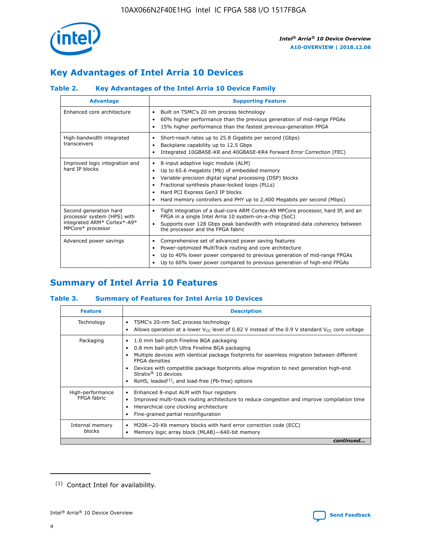

# **Key Advantages of Intel Arria 10 Devices**

# **Table 2. Key Advantages of the Intel Arria 10 Device Family**

| <b>Advantage</b>                                                                                          | <b>Supporting Feature</b>                                                                                                                                                                                                                                                                                                     |
|-----------------------------------------------------------------------------------------------------------|-------------------------------------------------------------------------------------------------------------------------------------------------------------------------------------------------------------------------------------------------------------------------------------------------------------------------------|
| Enhanced core architecture                                                                                | Built on TSMC's 20 nm process technology<br>٠<br>60% higher performance than the previous generation of mid-range FPGAs<br>٠<br>15% higher performance than the fastest previous-generation FPGA<br>٠                                                                                                                         |
| High-bandwidth integrated<br>transceivers                                                                 | Short-reach rates up to 25.8 Gigabits per second (Gbps)<br>٠<br>Backplane capability up to 12.5 Gbps<br>٠<br>Integrated 10GBASE-KR and 40GBASE-KR4 Forward Error Correction (FEC)<br>٠                                                                                                                                        |
| Improved logic integration and<br>hard IP blocks                                                          | 8-input adaptive logic module (ALM)<br>٠<br>Up to 65.6 megabits (Mb) of embedded memory<br>٠<br>Variable-precision digital signal processing (DSP) blocks<br>Fractional synthesis phase-locked loops (PLLs)<br>٠<br>Hard PCI Express Gen3 IP blocks<br>Hard memory controllers and PHY up to 2,400 Megabits per second (Mbps) |
| Second generation hard<br>processor system (HPS) with<br>integrated ARM* Cortex*-A9*<br>MPCore* processor | Tight integration of a dual-core ARM Cortex-A9 MPCore processor, hard IP, and an<br>٠<br>FPGA in a single Intel Arria 10 system-on-a-chip (SoC)<br>Supports over 128 Gbps peak bandwidth with integrated data coherency between<br>$\bullet$<br>the processor and the FPGA fabric                                             |
| Advanced power savings                                                                                    | Comprehensive set of advanced power saving features<br>٠<br>Power-optimized MultiTrack routing and core architecture<br>٠<br>Up to 40% lower power compared to previous generation of mid-range FPGAs<br>Up to 60% lower power compared to previous generation of high-end FPGAs<br>٠                                         |

# **Summary of Intel Arria 10 Features**

## **Table 3. Summary of Features for Intel Arria 10 Devices**

| <b>Feature</b>                  | <b>Description</b>                                                                                                                                                                                                                                                                                                                                                                                 |
|---------------------------------|----------------------------------------------------------------------------------------------------------------------------------------------------------------------------------------------------------------------------------------------------------------------------------------------------------------------------------------------------------------------------------------------------|
| Technology                      | TSMC's 20-nm SoC process technology<br>Allows operation at a lower $V_{\text{CC}}$ level of 0.82 V instead of the 0.9 V standard $V_{\text{CC}}$ core voltage                                                                                                                                                                                                                                      |
| Packaging                       | 1.0 mm ball-pitch Fineline BGA packaging<br>٠<br>0.8 mm ball-pitch Ultra Fineline BGA packaging<br>Multiple devices with identical package footprints for seamless migration between different<br><b>FPGA</b> densities<br>Devices with compatible package footprints allow migration to next generation high-end<br>Stratix $@10$ devices<br>RoHS, leaded $(1)$ , and lead-free (Pb-free) options |
| High-performance<br>FPGA fabric | Enhanced 8-input ALM with four registers<br>Improved multi-track routing architecture to reduce congestion and improve compilation time<br>Hierarchical core clocking architecture<br>Fine-grained partial reconfiguration                                                                                                                                                                         |
| Internal memory<br>blocks       | M20K-20-Kb memory blocks with hard error correction code (ECC)<br>Memory logic array block (MLAB)-640-bit memory                                                                                                                                                                                                                                                                                   |
|                                 | continued                                                                                                                                                                                                                                                                                                                                                                                          |



<sup>(1)</sup> Contact Intel for availability.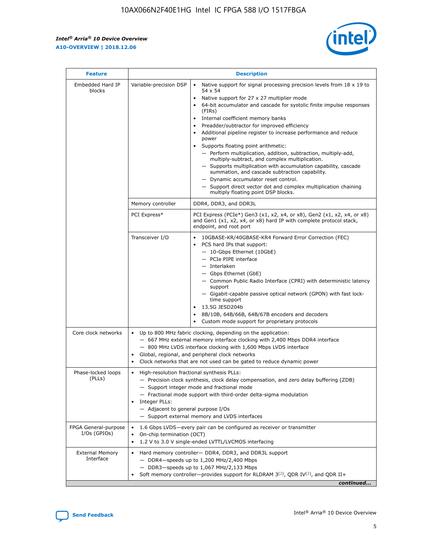r



| <b>Feature</b>                         | <b>Description</b>                                                                                             |                                                                                                                                                                                                                                                                                                                                                                                                                                                                                                                                                                                                                                                                                                                                                                                                                                                                  |  |  |  |  |  |  |
|----------------------------------------|----------------------------------------------------------------------------------------------------------------|------------------------------------------------------------------------------------------------------------------------------------------------------------------------------------------------------------------------------------------------------------------------------------------------------------------------------------------------------------------------------------------------------------------------------------------------------------------------------------------------------------------------------------------------------------------------------------------------------------------------------------------------------------------------------------------------------------------------------------------------------------------------------------------------------------------------------------------------------------------|--|--|--|--|--|--|
| Embedded Hard IP<br>blocks             | Variable-precision DSP                                                                                         | Native support for signal processing precision levels from $18 \times 19$ to<br>$\bullet$<br>54 x 54<br>Native support for 27 x 27 multiplier mode<br>$\bullet$<br>64-bit accumulator and cascade for systolic finite impulse responses<br>(FIRs)<br>Internal coefficient memory banks<br>$\bullet$<br>Preadder/subtractor for improved efficiency<br>Additional pipeline register to increase performance and reduce<br>power<br>Supports floating point arithmetic:<br>- Perform multiplication, addition, subtraction, multiply-add,<br>multiply-subtract, and complex multiplication.<br>- Supports multiplication with accumulation capability, cascade<br>summation, and cascade subtraction capability.<br>- Dynamic accumulator reset control.<br>- Support direct vector dot and complex multiplication chaining<br>multiply floating point DSP blocks. |  |  |  |  |  |  |
|                                        | Memory controller                                                                                              | DDR4, DDR3, and DDR3L                                                                                                                                                                                                                                                                                                                                                                                                                                                                                                                                                                                                                                                                                                                                                                                                                                            |  |  |  |  |  |  |
|                                        | PCI Express*                                                                                                   | PCI Express (PCIe*) Gen3 (x1, x2, x4, or x8), Gen2 (x1, x2, x4, or x8)<br>and Gen1 (x1, x2, x4, or x8) hard IP with complete protocol stack,<br>endpoint, and root port                                                                                                                                                                                                                                                                                                                                                                                                                                                                                                                                                                                                                                                                                          |  |  |  |  |  |  |
|                                        | Transceiver I/O                                                                                                | 10GBASE-KR/40GBASE-KR4 Forward Error Correction (FEC)<br>PCS hard IPs that support:<br>- 10-Gbps Ethernet (10GbE)<br>- PCIe PIPE interface<br>- Interlaken<br>- Gbps Ethernet (GbE)<br>- Common Public Radio Interface (CPRI) with deterministic latency<br>support<br>- Gigabit-capable passive optical network (GPON) with fast lock-<br>time support<br>13.5G JESD204b<br>$\bullet$<br>8B/10B, 64B/66B, 64B/67B encoders and decoders<br>Custom mode support for proprietary protocols                                                                                                                                                                                                                                                                                                                                                                        |  |  |  |  |  |  |
| Core clock networks                    | $\bullet$                                                                                                      | Up to 800 MHz fabric clocking, depending on the application:<br>- 667 MHz external memory interface clocking with 2,400 Mbps DDR4 interface<br>- 800 MHz LVDS interface clocking with 1,600 Mbps LVDS interface<br>Global, regional, and peripheral clock networks<br>Clock networks that are not used can be gated to reduce dynamic power                                                                                                                                                                                                                                                                                                                                                                                                                                                                                                                      |  |  |  |  |  |  |
| Phase-locked loops<br>(PLLs)           | High-resolution fractional synthesis PLLs:<br>$\bullet$<br>Integer PLLs:<br>- Adjacent to general purpose I/Os | - Precision clock synthesis, clock delay compensation, and zero delay buffering (ZDB)<br>- Support integer mode and fractional mode<br>- Fractional mode support with third-order delta-sigma modulation<br>- Support external memory and LVDS interfaces                                                                                                                                                                                                                                                                                                                                                                                                                                                                                                                                                                                                        |  |  |  |  |  |  |
| FPGA General-purpose<br>$I/Os$ (GPIOs) | On-chip termination (OCT)<br>$\bullet$                                                                         | 1.6 Gbps LVDS-every pair can be configured as receiver or transmitter                                                                                                                                                                                                                                                                                                                                                                                                                                                                                                                                                                                                                                                                                                                                                                                            |  |  |  |  |  |  |
| <b>External Memory</b><br>Interface    | $\bullet$                                                                                                      | 1.2 V to 3.0 V single-ended LVTTL/LVCMOS interfacing<br>Hard memory controller- DDR4, DDR3, and DDR3L support<br>$-$ DDR4-speeds up to 1,200 MHz/2,400 Mbps<br>- DDR3-speeds up to 1,067 MHz/2,133 Mbps<br>Soft memory controller—provides support for RLDRAM $3^{(2)}$ , QDR IV $^{(2)}$ , and QDR II+<br>continued                                                                                                                                                                                                                                                                                                                                                                                                                                                                                                                                             |  |  |  |  |  |  |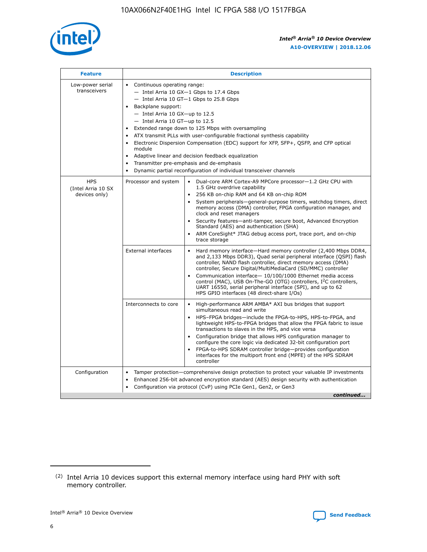

| <b>Feature</b>                                    | <b>Description</b>                                                                                                                                                                                                                                                                                                                                                                                                                                                                                                                                                                                                                                  |
|---------------------------------------------------|-----------------------------------------------------------------------------------------------------------------------------------------------------------------------------------------------------------------------------------------------------------------------------------------------------------------------------------------------------------------------------------------------------------------------------------------------------------------------------------------------------------------------------------------------------------------------------------------------------------------------------------------------------|
| Low-power serial<br>transceivers                  | • Continuous operating range:<br>- Intel Arria 10 GX-1 Gbps to 17.4 Gbps<br>- Intel Arria 10 GT-1 Gbps to 25.8 Gbps<br>Backplane support:<br>- Intel Arria 10 GX-up to 12.5<br>- Intel Arria 10 GT-up to 12.5<br>Extended range down to 125 Mbps with oversampling<br>ATX transmit PLLs with user-configurable fractional synthesis capability<br>Electronic Dispersion Compensation (EDC) support for XFP, SFP+, QSFP, and CFP optical<br>module<br>Adaptive linear and decision feedback equalization<br>$\bullet$<br>Transmitter pre-emphasis and de-emphasis<br>$\bullet$<br>Dynamic partial reconfiguration of individual transceiver channels |
| <b>HPS</b><br>(Intel Arria 10 SX<br>devices only) | Dual-core ARM Cortex-A9 MPCore processor-1.2 GHz CPU with<br>Processor and system<br>$\bullet$<br>1.5 GHz overdrive capability<br>256 KB on-chip RAM and 64 KB on-chip ROM<br>System peripherals—general-purpose timers, watchdog timers, direct<br>memory access (DMA) controller, FPGA configuration manager, and<br>clock and reset managers<br>Security features-anti-tamper, secure boot, Advanced Encryption<br>Standard (AES) and authentication (SHA)<br>ARM CoreSight* JTAG debug access port, trace port, and on-chip<br>trace storage                                                                                                    |
|                                                   | <b>External interfaces</b><br>Hard memory interface-Hard memory controller (2,400 Mbps DDR4,<br>$\bullet$<br>and 2,133 Mbps DDR3), Quad serial peripheral interface (QSPI) flash<br>controller, NAND flash controller, direct memory access (DMA)<br>controller, Secure Digital/MultiMediaCard (SD/MMC) controller<br>Communication interface-10/100/1000 Ethernet media access<br>control (MAC), USB On-The-GO (OTG) controllers, I <sup>2</sup> C controllers,<br>UART 16550, serial peripheral interface (SPI), and up to 62<br>HPS GPIO interfaces (48 direct-share I/Os)                                                                       |
|                                                   | High-performance ARM AMBA* AXI bus bridges that support<br>Interconnects to core<br>$\bullet$<br>simultaneous read and write<br>HPS-FPGA bridges-include the FPGA-to-HPS, HPS-to-FPGA, and<br>$\bullet$<br>lightweight HPS-to-FPGA bridges that allow the FPGA fabric to issue<br>transactions to slaves in the HPS, and vice versa<br>Configuration bridge that allows HPS configuration manager to<br>configure the core logic via dedicated 32-bit configuration port<br>FPGA-to-HPS SDRAM controller bridge-provides configuration<br>interfaces for the multiport front end (MPFE) of the HPS SDRAM<br>controller                              |
| Configuration                                     | Tamper protection—comprehensive design protection to protect your valuable IP investments<br>Enhanced 256-bit advanced encryption standard (AES) design security with authentication<br>٠<br>Configuration via protocol (CvP) using PCIe Gen1, Gen2, or Gen3<br>continued                                                                                                                                                                                                                                                                                                                                                                           |

<sup>(2)</sup> Intel Arria 10 devices support this external memory interface using hard PHY with soft memory controller.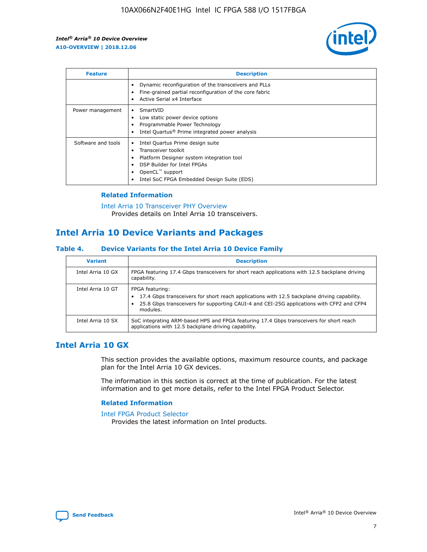

| <b>Feature</b>     | <b>Description</b>                                                                                                                                                                                               |
|--------------------|------------------------------------------------------------------------------------------------------------------------------------------------------------------------------------------------------------------|
|                    | Dynamic reconfiguration of the transceivers and PLLs<br>Fine-grained partial reconfiguration of the core fabric<br>Active Serial x4 Interface<br>$\bullet$                                                       |
| Power management   | SmartVID<br>Low static power device options<br>Programmable Power Technology<br>Intel Quartus <sup>®</sup> Prime integrated power analysis                                                                       |
| Software and tools | Intel Quartus Prime design suite<br>Transceiver toolkit<br>Platform Designer system integration tool<br>DSP Builder for Intel FPGAs<br>OpenCL <sup>™</sup> support<br>Intel SoC FPGA Embedded Design Suite (EDS) |

## **Related Information**

[Intel Arria 10 Transceiver PHY Overview](https://www.intel.com/content/www/us/en/programmable/documentation/nik1398707230472.html#nik1398706768037) Provides details on Intel Arria 10 transceivers.

# **Intel Arria 10 Device Variants and Packages**

#### **Table 4. Device Variants for the Intel Arria 10 Device Family**

| <b>Variant</b>    | <b>Description</b>                                                                                                                                                                                                     |
|-------------------|------------------------------------------------------------------------------------------------------------------------------------------------------------------------------------------------------------------------|
| Intel Arria 10 GX | FPGA featuring 17.4 Gbps transceivers for short reach applications with 12.5 backplane driving<br>capability.                                                                                                          |
| Intel Arria 10 GT | FPGA featuring:<br>17.4 Gbps transceivers for short reach applications with 12.5 backplane driving capability.<br>25.8 Gbps transceivers for supporting CAUI-4 and CEI-25G applications with CFP2 and CFP4<br>modules. |
| Intel Arria 10 SX | SoC integrating ARM-based HPS and FPGA featuring 17.4 Gbps transceivers for short reach<br>applications with 12.5 backplane driving capability.                                                                        |

# **Intel Arria 10 GX**

This section provides the available options, maximum resource counts, and package plan for the Intel Arria 10 GX devices.

The information in this section is correct at the time of publication. For the latest information and to get more details, refer to the Intel FPGA Product Selector.

#### **Related Information**

#### [Intel FPGA Product Selector](http://www.altera.com/products/selector/psg-selector.html) Provides the latest information on Intel products.

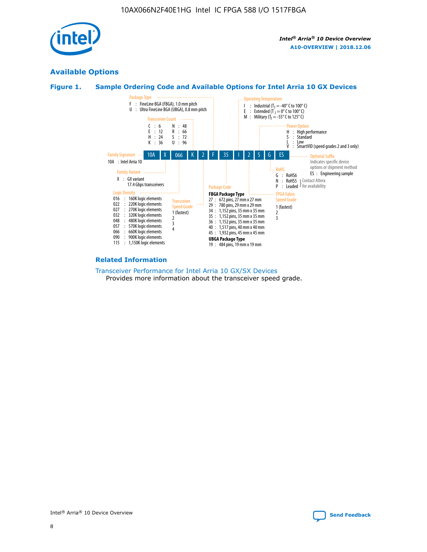

# **Available Options**





#### **Related Information**

[Transceiver Performance for Intel Arria 10 GX/SX Devices](https://www.intel.com/content/www/us/en/programmable/documentation/mcn1413182292568.html#mcn1413213965502) Provides more information about the transceiver speed grade.

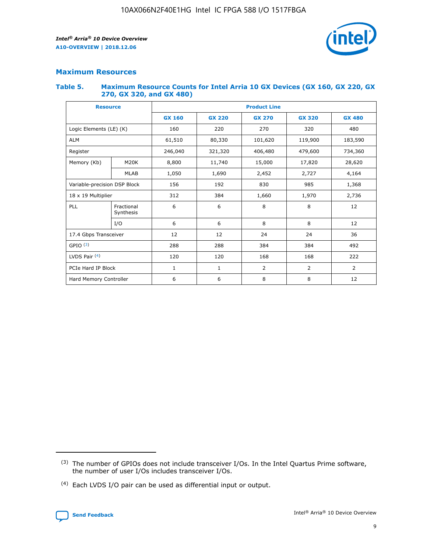

## **Maximum Resources**

#### **Table 5. Maximum Resource Counts for Intel Arria 10 GX Devices (GX 160, GX 220, GX 270, GX 320, and GX 480)**

| <b>Resource</b>              |                         | <b>Product Line</b> |                                                 |                    |                |                |  |  |  |
|------------------------------|-------------------------|---------------------|-------------------------------------------------|--------------------|----------------|----------------|--|--|--|
|                              |                         | <b>GX 160</b>       | <b>GX 220</b><br><b>GX 270</b><br><b>GX 320</b> |                    |                | <b>GX 480</b>  |  |  |  |
| Logic Elements (LE) (K)      |                         | 160                 | 220<br>320<br>270                               |                    |                | 480            |  |  |  |
| <b>ALM</b>                   |                         | 61,510              | 80,330                                          | 101,620            | 119,900        | 183,590        |  |  |  |
| Register                     |                         | 246,040             | 321,320                                         | 406,480<br>479,600 |                | 734,360        |  |  |  |
| Memory (Kb)                  | M <sub>20</sub> K       | 8,800               | 11,740                                          | 15,000             | 17,820         | 28,620         |  |  |  |
|                              | <b>MLAB</b>             | 1,050               | 1,690                                           | 2,452<br>2,727     |                | 4,164          |  |  |  |
| Variable-precision DSP Block |                         | 156                 | 192                                             | 830                | 985            | 1,368          |  |  |  |
| 18 x 19 Multiplier           |                         | 312                 | 384                                             | 1,660<br>1,970     |                | 2,736          |  |  |  |
| PLL                          | Fractional<br>Synthesis | 6                   | 6                                               | 8                  | 8              | 12             |  |  |  |
|                              | I/O                     | 6                   | 6                                               | 8                  | 8              | 12             |  |  |  |
| 17.4 Gbps Transceiver        |                         | 12                  | 12                                              | 24                 | 24             | 36             |  |  |  |
| GPIO <sup>(3)</sup>          |                         | 288                 | 288                                             | 384                | 384            | 492            |  |  |  |
| LVDS Pair $(4)$              |                         | 120                 | 120                                             | 168                | 168            | 222            |  |  |  |
| PCIe Hard IP Block           |                         | $\mathbf{1}$        | 1                                               | $\overline{2}$     | $\overline{2}$ | $\overline{2}$ |  |  |  |
| Hard Memory Controller       |                         | 6                   | 6                                               | 8                  | 8              |                |  |  |  |

<sup>(4)</sup> Each LVDS I/O pair can be used as differential input or output.



<sup>(3)</sup> The number of GPIOs does not include transceiver I/Os. In the Intel Quartus Prime software, the number of user I/Os includes transceiver I/Os.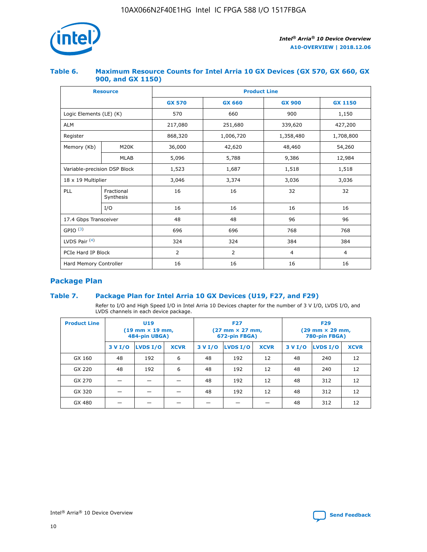

## **Table 6. Maximum Resource Counts for Intel Arria 10 GX Devices (GX 570, GX 660, GX 900, and GX 1150)**

|                              | <b>Resource</b>         | <b>Product Line</b> |                |                |                |  |  |  |
|------------------------------|-------------------------|---------------------|----------------|----------------|----------------|--|--|--|
|                              |                         | <b>GX 570</b>       | <b>GX 660</b>  | <b>GX 900</b>  | <b>GX 1150</b> |  |  |  |
| Logic Elements (LE) (K)      |                         | 570                 | 660            | 900            | 1,150          |  |  |  |
| <b>ALM</b>                   |                         | 217,080             | 251,680        | 339,620        | 427,200        |  |  |  |
| Register                     |                         | 868,320             | 1,006,720      |                | 1,708,800      |  |  |  |
| Memory (Kb)                  | <b>M20K</b>             | 36,000              | 42,620         | 48,460         | 54,260         |  |  |  |
|                              | <b>MLAB</b>             | 5,096               | 5,788          | 9,386          | 12,984         |  |  |  |
| Variable-precision DSP Block |                         | 1,523               | 1,687          | 1,518          | 1,518          |  |  |  |
| 18 x 19 Multiplier           |                         | 3,046               | 3,374          | 3,036          | 3,036          |  |  |  |
| PLL                          | Fractional<br>Synthesis | 16                  | 16             | 32             | 32             |  |  |  |
|                              | I/O                     | 16                  | 16             | 16             | 16             |  |  |  |
| 17.4 Gbps Transceiver        |                         | 48                  | 48             | 96             | 96             |  |  |  |
| GPIO <sup>(3)</sup>          |                         | 696                 | 696            | 768            | 768            |  |  |  |
| LVDS Pair $(4)$              |                         | 324                 | 324            | 384            | 384            |  |  |  |
| PCIe Hard IP Block           |                         | 2                   | $\overline{2}$ | $\overline{4}$ | $\overline{4}$ |  |  |  |
| Hard Memory Controller       |                         | 16                  | 16             | 16             |                |  |  |  |

# **Package Plan**

## **Table 7. Package Plan for Intel Arria 10 GX Devices (U19, F27, and F29)**

Refer to I/O and High Speed I/O in Intel Arria 10 Devices chapter for the number of 3 V I/O, LVDS I/O, and LVDS channels in each device package.

| <b>Product Line</b> | U <sub>19</sub><br>$(19 \text{ mm} \times 19 \text{ mm})$<br>484-pin UBGA) |          |             |         | <b>F27</b><br>(27 mm × 27 mm,<br>672-pin FBGA) |             | <b>F29</b><br>$(29 \text{ mm} \times 29 \text{ mm})$<br>780-pin FBGA) |          |             |  |
|---------------------|----------------------------------------------------------------------------|----------|-------------|---------|------------------------------------------------|-------------|-----------------------------------------------------------------------|----------|-------------|--|
|                     | 3 V I/O                                                                    | LVDS I/O | <b>XCVR</b> | 3 V I/O | <b>LVDS I/O</b>                                | <b>XCVR</b> | 3 V I/O                                                               | LVDS I/O | <b>XCVR</b> |  |
| GX 160              | 48                                                                         | 192      | 6           | 48      | 192                                            | 12          | 48                                                                    | 240      | 12          |  |
| GX 220              | 48                                                                         | 192      | 6           | 48      | 192                                            | 12          | 48                                                                    | 240      | 12          |  |
| GX 270              |                                                                            |          |             | 48      | 192                                            | 12          | 48                                                                    | 312      | 12          |  |
| GX 320              |                                                                            |          |             | 48      | 192                                            | 12          | 48                                                                    | 312      | 12          |  |
| GX 480              |                                                                            |          |             |         |                                                |             | 48                                                                    | 312      | 12          |  |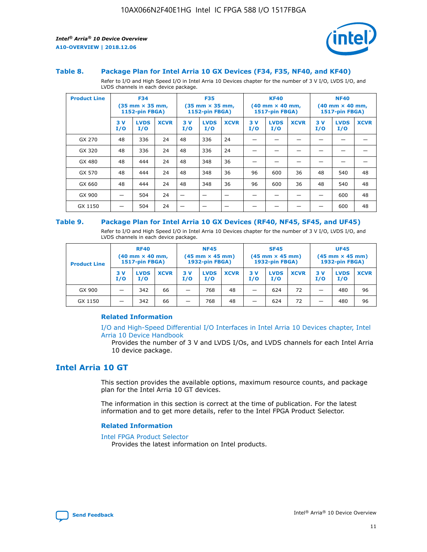

#### **Table 8. Package Plan for Intel Arria 10 GX Devices (F34, F35, NF40, and KF40)**

Refer to I/O and High Speed I/O in Intel Arria 10 Devices chapter for the number of 3 V I/O, LVDS I/O, and LVDS channels in each device package.

| <b>Product Line</b> | <b>F34</b><br>$(35 \text{ mm} \times 35 \text{ mm})$<br>1152-pin FBGA) |                    | <b>F35</b><br>$(35$ mm $\times$ 35 mm,<br><b>1152-pin FBGA)</b> |           | <b>KF40</b><br>$(40$ mm $\times$ 40 mm,<br>1517-pin FBGA) |             |           | <b>NF40</b><br>$(40 \text{ mm} \times 40 \text{ mm})$<br><b>1517-pin FBGA)</b> |             |            |                    |             |
|---------------------|------------------------------------------------------------------------|--------------------|-----------------------------------------------------------------|-----------|-----------------------------------------------------------|-------------|-----------|--------------------------------------------------------------------------------|-------------|------------|--------------------|-------------|
|                     | 3V<br>I/O                                                              | <b>LVDS</b><br>I/O | <b>XCVR</b>                                                     | 3V<br>I/O | <b>LVDS</b><br>I/O                                        | <b>XCVR</b> | 3V<br>I/O | <b>LVDS</b><br>I/O                                                             | <b>XCVR</b> | 3 V<br>I/O | <b>LVDS</b><br>I/O | <b>XCVR</b> |
| GX 270              | 48                                                                     | 336                | 24                                                              | 48        | 336                                                       | 24          |           |                                                                                |             |            |                    |             |
| GX 320              | 48                                                                     | 336                | 24                                                              | 48        | 336                                                       | 24          |           |                                                                                |             |            |                    |             |
| GX 480              | 48                                                                     | 444                | 24                                                              | 48        | 348                                                       | 36          |           |                                                                                |             |            |                    |             |
| GX 570              | 48                                                                     | 444                | 24                                                              | 48        | 348                                                       | 36          | 96        | 600                                                                            | 36          | 48         | 540                | 48          |
| GX 660              | 48                                                                     | 444                | 24                                                              | 48        | 348                                                       | 36          | 96        | 600                                                                            | 36          | 48         | 540                | 48          |
| GX 900              |                                                                        | 504                | 24                                                              | –         |                                                           |             |           |                                                                                |             |            | 600                | 48          |
| GX 1150             |                                                                        | 504                | 24                                                              |           |                                                           |             |           |                                                                                |             |            | 600                | 48          |

#### **Table 9. Package Plan for Intel Arria 10 GX Devices (RF40, NF45, SF45, and UF45)**

Refer to I/O and High Speed I/O in Intel Arria 10 Devices chapter for the number of 3 V I/O, LVDS I/O, and LVDS channels in each device package.

| <b>Product Line</b> | <b>RF40</b><br>$(40 \text{ mm} \times 40 \text{ mm})$<br>1517-pin FBGA) |                    |             | <b>NF45</b><br>$(45 \text{ mm} \times 45 \text{ mm})$<br><b>1932-pin FBGA)</b> |                    |             | <b>SF45</b><br>$(45 \text{ mm} \times 45 \text{ mm})$<br><b>1932-pin FBGA)</b> |                    |             | <b>UF45</b><br>$(45 \text{ mm} \times 45 \text{ mm})$<br>1932-pin FBGA) |                    |             |
|---------------------|-------------------------------------------------------------------------|--------------------|-------------|--------------------------------------------------------------------------------|--------------------|-------------|--------------------------------------------------------------------------------|--------------------|-------------|-------------------------------------------------------------------------|--------------------|-------------|
|                     | 3V<br>I/O                                                               | <b>LVDS</b><br>I/O | <b>XCVR</b> | 3 V<br>I/O                                                                     | <b>LVDS</b><br>I/O | <b>XCVR</b> | 3 V<br>I/O                                                                     | <b>LVDS</b><br>I/O | <b>XCVR</b> | 3V<br>I/O                                                               | <b>LVDS</b><br>I/O | <b>XCVR</b> |
| GX 900              |                                                                         | 342                | 66          | _                                                                              | 768                | 48          |                                                                                | 624                | 72          |                                                                         | 480                | 96          |
| GX 1150             |                                                                         | 342                | 66          | -                                                                              | 768                | 48          |                                                                                | 624                | 72          |                                                                         | 480                | 96          |

### **Related Information**

[I/O and High-Speed Differential I/O Interfaces in Intel Arria 10 Devices chapter, Intel](https://www.intel.com/content/www/us/en/programmable/documentation/sam1403482614086.html#sam1403482030321) [Arria 10 Device Handbook](https://www.intel.com/content/www/us/en/programmable/documentation/sam1403482614086.html#sam1403482030321)

Provides the number of 3 V and LVDS I/Os, and LVDS channels for each Intel Arria 10 device package.

# **Intel Arria 10 GT**

This section provides the available options, maximum resource counts, and package plan for the Intel Arria 10 GT devices.

The information in this section is correct at the time of publication. For the latest information and to get more details, refer to the Intel FPGA Product Selector.

#### **Related Information**

#### [Intel FPGA Product Selector](http://www.altera.com/products/selector/psg-selector.html)

Provides the latest information on Intel products.

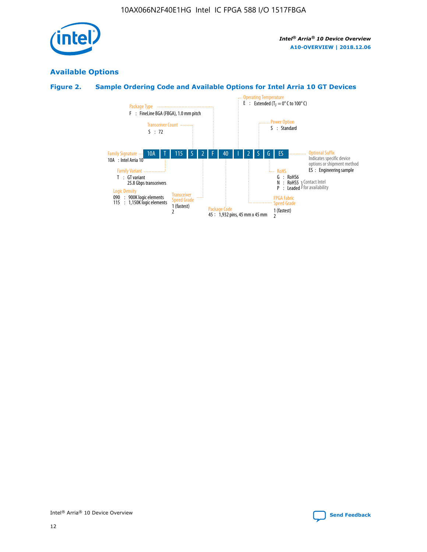

# **Available Options**

# **Figure 2. Sample Ordering Code and Available Options for Intel Arria 10 GT Devices**

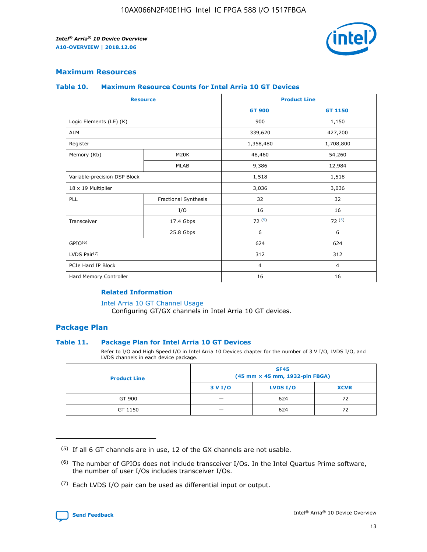

## **Maximum Resources**

#### **Table 10. Maximum Resource Counts for Intel Arria 10 GT Devices**

| <b>Resource</b>              |                      |                | <b>Product Line</b> |  |
|------------------------------|----------------------|----------------|---------------------|--|
|                              |                      | <b>GT 900</b>  | <b>GT 1150</b>      |  |
| Logic Elements (LE) (K)      |                      | 900            | 1,150               |  |
| <b>ALM</b>                   |                      | 339,620        | 427,200             |  |
| Register                     |                      | 1,358,480      | 1,708,800           |  |
| Memory (Kb)                  | M20K                 | 48,460         | 54,260              |  |
|                              | <b>MLAB</b>          | 9,386          | 12,984              |  |
| Variable-precision DSP Block |                      | 1,518          | 1,518               |  |
| 18 x 19 Multiplier           |                      | 3,036          | 3,036               |  |
| PLL                          | Fractional Synthesis | 32             | 32                  |  |
|                              | I/O                  | 16             | 16                  |  |
| Transceiver                  | 17.4 Gbps            | 72(5)          | 72(5)               |  |
|                              | 25.8 Gbps            | 6              | 6                   |  |
| GPIO <sup>(6)</sup>          |                      | 624            | 624                 |  |
| LVDS Pair $(7)$              |                      | 312            | 312                 |  |
| PCIe Hard IP Block           |                      | $\overline{4}$ | $\overline{4}$      |  |
| Hard Memory Controller       |                      | 16             | 16                  |  |

### **Related Information**

#### [Intel Arria 10 GT Channel Usage](https://www.intel.com/content/www/us/en/programmable/documentation/nik1398707230472.html#nik1398707008178)

Configuring GT/GX channels in Intel Arria 10 GT devices.

## **Package Plan**

#### **Table 11. Package Plan for Intel Arria 10 GT Devices**

Refer to I/O and High Speed I/O in Intel Arria 10 Devices chapter for the number of 3 V I/O, LVDS I/O, and LVDS channels in each device package.

| <b>Product Line</b> | <b>SF45</b><br>(45 mm × 45 mm, 1932-pin FBGA) |                 |             |  |  |  |  |
|---------------------|-----------------------------------------------|-----------------|-------------|--|--|--|--|
|                     | 3 V I/O                                       | <b>LVDS I/O</b> | <b>XCVR</b> |  |  |  |  |
| GT 900              |                                               | 624             | 72          |  |  |  |  |
| GT 1150             |                                               | 624             | 72          |  |  |  |  |

<sup>(7)</sup> Each LVDS I/O pair can be used as differential input or output.



 $(5)$  If all 6 GT channels are in use, 12 of the GX channels are not usable.

<sup>(6)</sup> The number of GPIOs does not include transceiver I/Os. In the Intel Quartus Prime software, the number of user I/Os includes transceiver I/Os.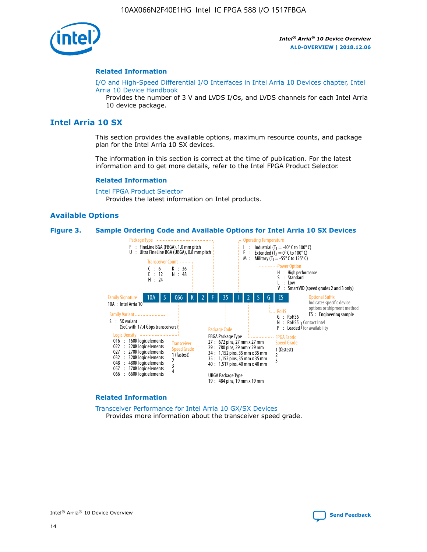

#### **Related Information**

[I/O and High-Speed Differential I/O Interfaces in Intel Arria 10 Devices chapter, Intel](https://www.intel.com/content/www/us/en/programmable/documentation/sam1403482614086.html#sam1403482030321) [Arria 10 Device Handbook](https://www.intel.com/content/www/us/en/programmable/documentation/sam1403482614086.html#sam1403482030321)

Provides the number of 3 V and LVDS I/Os, and LVDS channels for each Intel Arria 10 device package.

# **Intel Arria 10 SX**

This section provides the available options, maximum resource counts, and package plan for the Intel Arria 10 SX devices.

The information in this section is correct at the time of publication. For the latest information and to get more details, refer to the Intel FPGA Product Selector.

#### **Related Information**

[Intel FPGA Product Selector](http://www.altera.com/products/selector/psg-selector.html) Provides the latest information on Intel products.

#### **Available Options**

#### **Figure 3. Sample Ordering Code and Available Options for Intel Arria 10 SX Devices**



#### **Related Information**

[Transceiver Performance for Intel Arria 10 GX/SX Devices](https://www.intel.com/content/www/us/en/programmable/documentation/mcn1413182292568.html#mcn1413213965502) Provides more information about the transceiver speed grade.

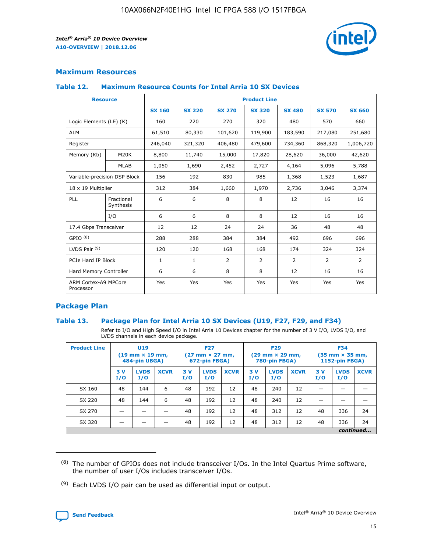

## **Maximum Resources**

#### **Table 12. Maximum Resource Counts for Intel Arria 10 SX Devices**

|                                   | <b>Resource</b>         | <b>Product Line</b> |               |                |                |                |                |                |  |  |  |
|-----------------------------------|-------------------------|---------------------|---------------|----------------|----------------|----------------|----------------|----------------|--|--|--|
|                                   |                         | <b>SX 160</b>       | <b>SX 220</b> | <b>SX 270</b>  | <b>SX 320</b>  | <b>SX 480</b>  | <b>SX 570</b>  | <b>SX 660</b>  |  |  |  |
| Logic Elements (LE) (K)           |                         | 160                 | 220           | 270            | 320            | 480            | 570            | 660            |  |  |  |
| <b>ALM</b>                        |                         | 61,510              | 80,330        | 101,620        | 119,900        | 183,590        | 217,080        | 251,680        |  |  |  |
| Register                          |                         | 246,040             | 321,320       | 406,480        | 479,600        | 734,360        | 868,320        | 1,006,720      |  |  |  |
| Memory (Kb)                       | M <sub>20</sub> K       | 8,800               | 11,740        | 15,000         | 17,820         | 28,620         | 36,000         | 42,620         |  |  |  |
|                                   | <b>MLAB</b>             | 1,050               | 1,690         | 2,452          | 2,727          | 4,164          | 5,096          | 5,788          |  |  |  |
| Variable-precision DSP Block      |                         | 156                 | 192           | 830            | 985            | 1,368          | 1,523          | 1,687          |  |  |  |
| 18 x 19 Multiplier                |                         | 312                 | 384           | 1,660          | 1,970          | 2,736          | 3,046          | 3,374          |  |  |  |
| <b>PLL</b>                        | Fractional<br>Synthesis | 6                   | 6             | 8              | 8              | 12             | 16             | 16             |  |  |  |
|                                   | I/O                     | 6                   | 6             | 8              | 8              | 12             | 16             | 16             |  |  |  |
| 17.4 Gbps Transceiver             |                         | 12                  | 12            | 24             | 24             | 36             | 48             | 48             |  |  |  |
| GPIO <sup>(8)</sup>               |                         | 288                 | 288           | 384            | 384            | 492            | 696            | 696            |  |  |  |
| LVDS Pair $(9)$                   |                         | 120                 | 120           | 168            | 168            | 174            | 324            | 324            |  |  |  |
| PCIe Hard IP Block                |                         | $\mathbf{1}$        | $\mathbf{1}$  | $\overline{2}$ | $\overline{2}$ | $\overline{2}$ | $\overline{2}$ | $\overline{2}$ |  |  |  |
| Hard Memory Controller            |                         | 6                   | 6             | 8              | 8              | 12             | 16             | 16             |  |  |  |
| ARM Cortex-A9 MPCore<br>Processor |                         | Yes                 | Yes           | Yes            | Yes            | Yes            | Yes            | Yes            |  |  |  |

## **Package Plan**

#### **Table 13. Package Plan for Intel Arria 10 SX Devices (U19, F27, F29, and F34)**

Refer to I/O and High Speed I/O in Intel Arria 10 Devices chapter for the number of 3 V I/O, LVDS I/O, and LVDS channels in each device package.

| <b>Product Line</b> | U <sub>19</sub><br>$(19 \text{ mm} \times 19 \text{ mm})$<br>484-pin UBGA) |                    |             | <b>F27</b><br>$(27 \text{ mm} \times 27 \text{ mm})$ .<br>672-pin FBGA) |                    | <b>F29</b><br>$(29 \text{ mm} \times 29 \text{ mm})$ .<br>780-pin FBGA) |            |                    | <b>F34</b><br>$(35 \text{ mm} \times 35 \text{ mm})$<br><b>1152-pin FBGA)</b> |           |                    |             |
|---------------------|----------------------------------------------------------------------------|--------------------|-------------|-------------------------------------------------------------------------|--------------------|-------------------------------------------------------------------------|------------|--------------------|-------------------------------------------------------------------------------|-----------|--------------------|-------------|
|                     | 3V<br>I/O                                                                  | <b>LVDS</b><br>I/O | <b>XCVR</b> | 3V<br>I/O                                                               | <b>LVDS</b><br>I/O | <b>XCVR</b>                                                             | 3 V<br>I/O | <b>LVDS</b><br>I/O | <b>XCVR</b>                                                                   | 3V<br>I/O | <b>LVDS</b><br>I/O | <b>XCVR</b> |
| SX 160              | 48                                                                         | 144                | 6           | 48                                                                      | 192                | 12                                                                      | 48         | 240                | 12                                                                            |           |                    |             |
| SX 220              | 48                                                                         | 144                | 6           | 48                                                                      | 192                | 12                                                                      | 48         | 240                | 12                                                                            |           |                    |             |
| SX 270              |                                                                            |                    |             | 48                                                                      | 192                | 12                                                                      | 48         | 312                | 12                                                                            | 48        | 336                | 24          |
| SX 320              |                                                                            |                    |             | 48                                                                      | 192                | 12                                                                      | 48         | 312                | 12                                                                            | 48        | 336                | 24          |
|                     | continued                                                                  |                    |             |                                                                         |                    |                                                                         |            |                    |                                                                               |           |                    |             |

 $(8)$  The number of GPIOs does not include transceiver I/Os. In the Intel Quartus Prime software, the number of user I/Os includes transceiver I/Os.

 $(9)$  Each LVDS I/O pair can be used as differential input or output.

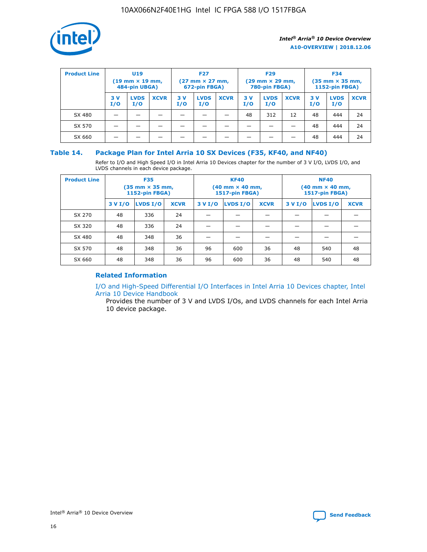

| <b>Product Line</b> | U <sub>19</sub><br>$(19 \text{ mm} \times 19 \text{ mm})$<br>484-pin UBGA) |                    | <b>F27</b><br>$(27 \text{ mm} \times 27 \text{ mm})$<br>672-pin FBGA) |           |                    | <b>F29</b><br>$(29 \text{ mm} \times 29 \text{ mm})$<br>780-pin FBGA) |           |                    | <b>F34</b><br>$(35$ mm $\times$ 35 mm,<br><b>1152-pin FBGA)</b> |           |                    |             |
|---------------------|----------------------------------------------------------------------------|--------------------|-----------------------------------------------------------------------|-----------|--------------------|-----------------------------------------------------------------------|-----------|--------------------|-----------------------------------------------------------------|-----------|--------------------|-------------|
|                     | 3 V<br>I/O                                                                 | <b>LVDS</b><br>I/O | <b>XCVR</b>                                                           | 3V<br>I/O | <b>LVDS</b><br>I/O | <b>XCVR</b>                                                           | 3V<br>I/O | <b>LVDS</b><br>I/O | <b>XCVR</b>                                                     | 3V<br>I/O | <b>LVDS</b><br>I/O | <b>XCVR</b> |
| SX 480              |                                                                            |                    |                                                                       |           |                    |                                                                       | 48        | 312                | 12                                                              | 48        | 444                | 24          |
| SX 570              |                                                                            |                    |                                                                       |           |                    |                                                                       |           |                    |                                                                 | 48        | 444                | 24          |
| SX 660              |                                                                            |                    |                                                                       |           |                    |                                                                       |           |                    |                                                                 | 48        | 444                | 24          |

## **Table 14. Package Plan for Intel Arria 10 SX Devices (F35, KF40, and NF40)**

Refer to I/O and High Speed I/O in Intel Arria 10 Devices chapter for the number of 3 V I/O, LVDS I/O, and LVDS channels in each device package.

| <b>Product Line</b> | <b>F35</b><br>$(35 \text{ mm} \times 35 \text{ mm})$<br><b>1152-pin FBGA)</b> |          |             |                                           | <b>KF40</b><br>(40 mm × 40 mm,<br>1517-pin FBGA) |    | <b>NF40</b><br>$(40 \text{ mm} \times 40 \text{ mm})$<br>1517-pin FBGA) |          |             |  |
|---------------------|-------------------------------------------------------------------------------|----------|-------------|-------------------------------------------|--------------------------------------------------|----|-------------------------------------------------------------------------|----------|-------------|--|
|                     | 3 V I/O                                                                       | LVDS I/O | <b>XCVR</b> | <b>LVDS I/O</b><br><b>XCVR</b><br>3 V I/O |                                                  |    | 3 V I/O                                                                 | LVDS I/O | <b>XCVR</b> |  |
| SX 270              | 48                                                                            | 336      | 24          |                                           |                                                  |    |                                                                         |          |             |  |
| SX 320              | 48                                                                            | 336      | 24          |                                           |                                                  |    |                                                                         |          |             |  |
| SX 480              | 48                                                                            | 348      | 36          |                                           |                                                  |    |                                                                         |          |             |  |
| SX 570              | 48                                                                            | 348      | 36          | 96                                        | 600                                              | 36 | 48                                                                      | 540      | 48          |  |
| SX 660              | 48                                                                            | 348      | 36          | 96                                        | 600                                              | 36 | 48                                                                      | 540      | 48          |  |

# **Related Information**

[I/O and High-Speed Differential I/O Interfaces in Intel Arria 10 Devices chapter, Intel](https://www.intel.com/content/www/us/en/programmable/documentation/sam1403482614086.html#sam1403482030321) [Arria 10 Device Handbook](https://www.intel.com/content/www/us/en/programmable/documentation/sam1403482614086.html#sam1403482030321)

Provides the number of 3 V and LVDS I/Os, and LVDS channels for each Intel Arria 10 device package.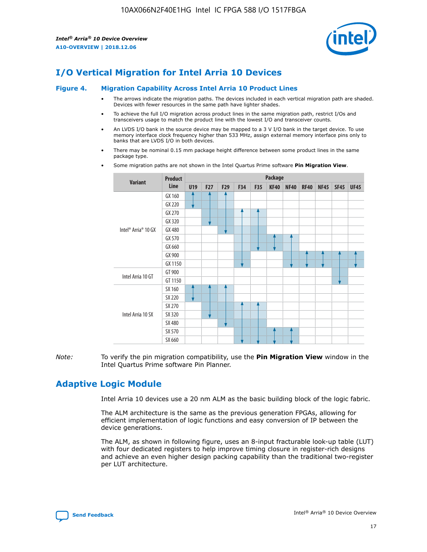

# **I/O Vertical Migration for Intel Arria 10 Devices**

#### **Figure 4. Migration Capability Across Intel Arria 10 Product Lines**

- The arrows indicate the migration paths. The devices included in each vertical migration path are shaded. Devices with fewer resources in the same path have lighter shades.
- To achieve the full I/O migration across product lines in the same migration path, restrict I/Os and transceivers usage to match the product line with the lowest I/O and transceiver counts.
- An LVDS I/O bank in the source device may be mapped to a 3 V I/O bank in the target device. To use memory interface clock frequency higher than 533 MHz, assign external memory interface pins only to banks that are LVDS I/O in both devices.
- There may be nominal 0.15 mm package height difference between some product lines in the same package type.
	- **Variant Product Line Package U19 F27 F29 F34 F35 KF40 NF40 RF40 NF45 SF45 UF45** Intel® Arria® 10 GX GX 160 GX 220 GX 270 GX 320 GX 480 GX 570 GX 660 GX 900 GX 1150 Intel Arria 10 GT GT 900 GT 1150 Intel Arria 10 SX SX 160 SX 220 SX 270 SX 320 SX 480 SX 570 SX 660
- Some migration paths are not shown in the Intel Quartus Prime software **Pin Migration View**.

*Note:* To verify the pin migration compatibility, use the **Pin Migration View** window in the Intel Quartus Prime software Pin Planner.

# **Adaptive Logic Module**

Intel Arria 10 devices use a 20 nm ALM as the basic building block of the logic fabric.

The ALM architecture is the same as the previous generation FPGAs, allowing for efficient implementation of logic functions and easy conversion of IP between the device generations.

The ALM, as shown in following figure, uses an 8-input fracturable look-up table (LUT) with four dedicated registers to help improve timing closure in register-rich designs and achieve an even higher design packing capability than the traditional two-register per LUT architecture.

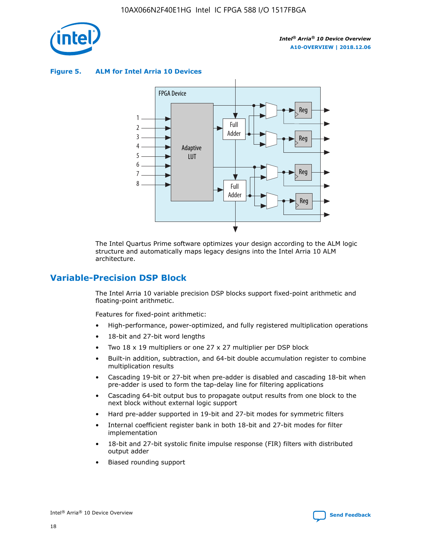

**Figure 5. ALM for Intel Arria 10 Devices**



The Intel Quartus Prime software optimizes your design according to the ALM logic structure and automatically maps legacy designs into the Intel Arria 10 ALM architecture.

# **Variable-Precision DSP Block**

The Intel Arria 10 variable precision DSP blocks support fixed-point arithmetic and floating-point arithmetic.

Features for fixed-point arithmetic:

- High-performance, power-optimized, and fully registered multiplication operations
- 18-bit and 27-bit word lengths
- Two 18 x 19 multipliers or one 27 x 27 multiplier per DSP block
- Built-in addition, subtraction, and 64-bit double accumulation register to combine multiplication results
- Cascading 19-bit or 27-bit when pre-adder is disabled and cascading 18-bit when pre-adder is used to form the tap-delay line for filtering applications
- Cascading 64-bit output bus to propagate output results from one block to the next block without external logic support
- Hard pre-adder supported in 19-bit and 27-bit modes for symmetric filters
- Internal coefficient register bank in both 18-bit and 27-bit modes for filter implementation
- 18-bit and 27-bit systolic finite impulse response (FIR) filters with distributed output adder
- Biased rounding support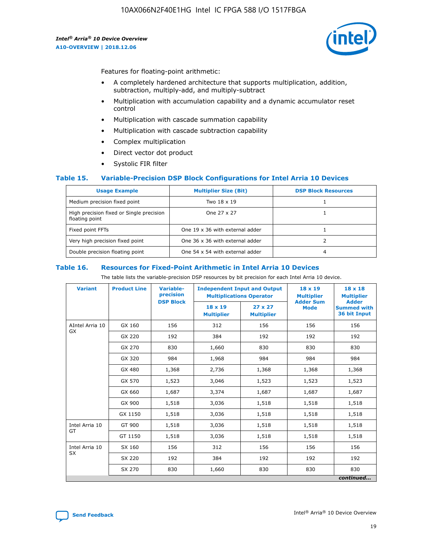

Features for floating-point arithmetic:

- A completely hardened architecture that supports multiplication, addition, subtraction, multiply-add, and multiply-subtract
- Multiplication with accumulation capability and a dynamic accumulator reset control
- Multiplication with cascade summation capability
- Multiplication with cascade subtraction capability
- Complex multiplication
- Direct vector dot product
- Systolic FIR filter

#### **Table 15. Variable-Precision DSP Block Configurations for Intel Arria 10 Devices**

| <b>Usage Example</b>                                       | <b>Multiplier Size (Bit)</b>    | <b>DSP Block Resources</b> |
|------------------------------------------------------------|---------------------------------|----------------------------|
| Medium precision fixed point                               | Two 18 x 19                     |                            |
| High precision fixed or Single precision<br>floating point | One 27 x 27                     |                            |
| Fixed point FFTs                                           | One 19 x 36 with external adder |                            |
| Very high precision fixed point                            | One 36 x 36 with external adder |                            |
| Double precision floating point                            | One 54 x 54 with external adder | 4                          |

#### **Table 16. Resources for Fixed-Point Arithmetic in Intel Arria 10 Devices**

The table lists the variable-precision DSP resources by bit precision for each Intel Arria 10 device.

| <b>Variant</b>  | <b>Product Line</b> | <b>Variable-</b><br>precision<br><b>DSP Block</b> | <b>Independent Input and Output</b><br><b>Multiplications Operator</b> |                                     | $18 \times 19$<br><b>Multiplier</b><br><b>Adder Sum</b> | $18 \times 18$<br><b>Multiplier</b><br><b>Adder</b> |
|-----------------|---------------------|---------------------------------------------------|------------------------------------------------------------------------|-------------------------------------|---------------------------------------------------------|-----------------------------------------------------|
|                 |                     |                                                   | 18 x 19<br><b>Multiplier</b>                                           | $27 \times 27$<br><b>Multiplier</b> | <b>Mode</b>                                             | <b>Summed with</b><br>36 bit Input                  |
| AIntel Arria 10 | GX 160              | 156                                               | 312                                                                    | 156                                 | 156                                                     | 156                                                 |
| GX              | GX 220              | 192                                               | 384                                                                    | 192                                 | 192                                                     | 192                                                 |
|                 | GX 270              | 830                                               | 1,660                                                                  | 830                                 | 830                                                     | 830                                                 |
|                 | GX 320              | 984                                               | 1,968                                                                  | 984                                 | 984                                                     | 984                                                 |
|                 | GX 480              | 1,368                                             | 2,736                                                                  | 1,368                               | 1,368                                                   | 1,368                                               |
|                 | GX 570              | 1,523                                             | 3,046                                                                  | 1,523                               | 1,523                                                   | 1,523                                               |
|                 | GX 660              | 1,687                                             | 3,374                                                                  | 1,687                               | 1,687                                                   | 1,687                                               |
|                 | GX 900              | 1,518                                             | 3,036                                                                  | 1,518                               | 1,518                                                   | 1,518                                               |
|                 | GX 1150             | 1,518                                             | 3,036                                                                  | 1,518                               | 1,518                                                   | 1,518                                               |
| Intel Arria 10  | GT 900              | 1,518                                             | 3,036                                                                  | 1,518                               | 1,518                                                   | 1,518                                               |
| GT              | GT 1150             | 1,518                                             | 3,036                                                                  | 1,518                               | 1,518                                                   | 1,518                                               |
| Intel Arria 10  | SX 160              | 156                                               | 312                                                                    | 156                                 | 156                                                     | 156                                                 |
| <b>SX</b>       | SX 220              | 192                                               | 384                                                                    | 192                                 | 192                                                     | 192                                                 |
|                 | SX 270              | 830                                               | 1,660                                                                  | 830                                 | 830                                                     | 830                                                 |
|                 |                     |                                                   |                                                                        |                                     |                                                         | continued                                           |

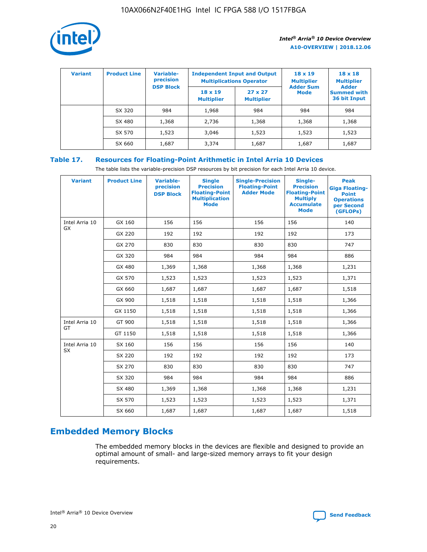

| <b>Variant</b> | <b>Product Line</b> | <b>Variable-</b><br>precision<br><b>DSP Block</b> | <b>Independent Input and Output</b><br><b>Multiplications Operator</b> |                                     | $18 \times 19$<br><b>Multiplier</b><br><b>Adder Sum</b> | $18 \times 18$<br><b>Multiplier</b><br><b>Adder</b> |  |
|----------------|---------------------|---------------------------------------------------|------------------------------------------------------------------------|-------------------------------------|---------------------------------------------------------|-----------------------------------------------------|--|
|                |                     |                                                   | $18 \times 19$<br><b>Multiplier</b>                                    | $27 \times 27$<br><b>Multiplier</b> | <b>Mode</b>                                             | <b>Summed with</b><br>36 bit Input                  |  |
|                | SX 320              | 984                                               | 1,968                                                                  | 984                                 | 984                                                     | 984                                                 |  |
|                | SX 480              | 1,368                                             | 2,736                                                                  | 1,368                               | 1,368                                                   | 1,368                                               |  |
|                | SX 570              | 1,523                                             | 3,046                                                                  | 1,523                               | 1,523                                                   | 1,523                                               |  |
|                | SX 660              | 1,687                                             | 3,374                                                                  | 1,687                               | 1,687                                                   | 1,687                                               |  |

# **Table 17. Resources for Floating-Point Arithmetic in Intel Arria 10 Devices**

The table lists the variable-precision DSP resources by bit precision for each Intel Arria 10 device.

| <b>Variant</b> | <b>Product Line</b> | <b>Variable-</b><br>precision<br><b>DSP Block</b> | <b>Single</b><br><b>Precision</b><br><b>Floating-Point</b><br><b>Multiplication</b><br><b>Mode</b> | <b>Single-Precision</b><br><b>Floating-Point</b><br><b>Adder Mode</b> | Single-<br><b>Precision</b><br><b>Floating-Point</b><br><b>Multiply</b><br><b>Accumulate</b><br><b>Mode</b> | <b>Peak</b><br><b>Giga Floating-</b><br><b>Point</b><br><b>Operations</b><br>per Second<br>(GFLOPs) |
|----------------|---------------------|---------------------------------------------------|----------------------------------------------------------------------------------------------------|-----------------------------------------------------------------------|-------------------------------------------------------------------------------------------------------------|-----------------------------------------------------------------------------------------------------|
| Intel Arria 10 | GX 160              | 156                                               | 156                                                                                                | 156                                                                   | 156                                                                                                         | 140                                                                                                 |
| <b>GX</b>      | GX 220              | 192                                               | 192                                                                                                | 192                                                                   | 192                                                                                                         | 173                                                                                                 |
|                | GX 270              | 830                                               | 830                                                                                                | 830                                                                   | 830                                                                                                         | 747                                                                                                 |
|                | GX 320              | 984                                               | 984                                                                                                | 984                                                                   | 984                                                                                                         | 886                                                                                                 |
|                | GX 480              | 1,369                                             | 1,368                                                                                              | 1,368                                                                 | 1,368                                                                                                       | 1,231                                                                                               |
|                | GX 570              | 1,523                                             | 1,523                                                                                              | 1,523                                                                 | 1,523                                                                                                       | 1,371                                                                                               |
|                | GX 660              | 1,687                                             | 1,687                                                                                              | 1,687                                                                 | 1,687                                                                                                       | 1,518                                                                                               |
|                | GX 900              | 1,518                                             | 1,518                                                                                              | 1,518                                                                 | 1,518                                                                                                       | 1,366                                                                                               |
|                | GX 1150             | 1,518                                             | 1,518                                                                                              | 1,518                                                                 | 1,518                                                                                                       | 1,366                                                                                               |
| Intel Arria 10 | GT 900              | 1,518                                             | 1,518                                                                                              | 1,518                                                                 | 1,518                                                                                                       | 1,366                                                                                               |
| GT             | GT 1150             | 1,518                                             | 1,518                                                                                              | 1,518                                                                 | 1,518                                                                                                       | 1,366                                                                                               |
| Intel Arria 10 | SX 160              | 156                                               | 156                                                                                                | 156                                                                   | 156                                                                                                         | 140                                                                                                 |
| SX             | SX 220              | 192                                               | 192                                                                                                | 192                                                                   | 192                                                                                                         | 173                                                                                                 |
|                | SX 270              | 830                                               | 830                                                                                                | 830                                                                   | 830                                                                                                         | 747                                                                                                 |
|                | SX 320              | 984                                               | 984                                                                                                | 984                                                                   | 984                                                                                                         | 886                                                                                                 |
|                | SX 480              | 1,369                                             | 1,368                                                                                              | 1,368                                                                 | 1,368                                                                                                       | 1,231                                                                                               |
|                | SX 570              | 1,523                                             | 1,523                                                                                              | 1,523                                                                 | 1,523                                                                                                       | 1,371                                                                                               |
|                | SX 660              | 1,687                                             | 1,687                                                                                              | 1,687                                                                 | 1,687                                                                                                       | 1,518                                                                                               |

# **Embedded Memory Blocks**

The embedded memory blocks in the devices are flexible and designed to provide an optimal amount of small- and large-sized memory arrays to fit your design requirements.

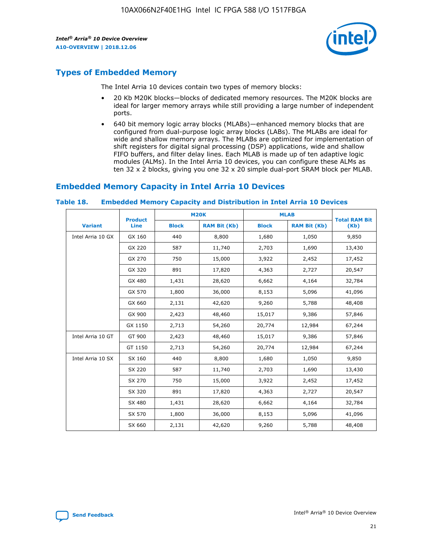

# **Types of Embedded Memory**

The Intel Arria 10 devices contain two types of memory blocks:

- 20 Kb M20K blocks—blocks of dedicated memory resources. The M20K blocks are ideal for larger memory arrays while still providing a large number of independent ports.
- 640 bit memory logic array blocks (MLABs)—enhanced memory blocks that are configured from dual-purpose logic array blocks (LABs). The MLABs are ideal for wide and shallow memory arrays. The MLABs are optimized for implementation of shift registers for digital signal processing (DSP) applications, wide and shallow FIFO buffers, and filter delay lines. Each MLAB is made up of ten adaptive logic modules (ALMs). In the Intel Arria 10 devices, you can configure these ALMs as ten 32 x 2 blocks, giving you one 32 x 20 simple dual-port SRAM block per MLAB.

# **Embedded Memory Capacity in Intel Arria 10 Devices**

|                   | <b>Product</b> | <b>M20K</b>  |                     | <b>MLAB</b>  |                     | <b>Total RAM Bit</b> |
|-------------------|----------------|--------------|---------------------|--------------|---------------------|----------------------|
| <b>Variant</b>    | <b>Line</b>    | <b>Block</b> | <b>RAM Bit (Kb)</b> | <b>Block</b> | <b>RAM Bit (Kb)</b> | (Kb)                 |
| Intel Arria 10 GX | GX 160         | 440          | 8,800               | 1,680        | 1,050               | 9,850                |
|                   | GX 220         | 587          | 11,740              | 2,703        | 1,690               | 13,430               |
|                   | GX 270         | 750          | 15,000              | 3,922        | 2,452               | 17,452               |
|                   | GX 320         | 891          | 17,820              | 4,363        | 2,727               | 20,547               |
|                   | GX 480         | 1,431        | 28,620              | 6,662        | 4,164               | 32,784               |
|                   | GX 570         | 1,800        | 36,000              | 8,153        | 5,096               | 41,096               |
|                   | GX 660         | 2,131        | 42,620              | 9,260        | 5,788               | 48,408               |
|                   | GX 900         | 2,423        | 48,460              | 15,017       | 9,386               | 57,846               |
|                   | GX 1150        | 2,713        | 54,260              | 20,774       | 12,984              | 67,244               |
| Intel Arria 10 GT | GT 900         | 2,423        | 48,460              | 15,017       | 9,386               | 57,846               |
|                   | GT 1150        | 2,713        | 54,260              | 20,774       | 12,984              | 67,244               |
| Intel Arria 10 SX | SX 160         | 440          | 8,800               | 1,680        | 1,050               | 9,850                |
|                   | SX 220         | 587          | 11,740              | 2,703        | 1,690               | 13,430               |
|                   | SX 270         | 750          | 15,000              | 3,922        | 2,452               | 17,452               |
|                   | SX 320         | 891          | 17,820              | 4,363        | 2,727               | 20,547               |
|                   | SX 480         | 1,431        | 28,620              | 6,662        | 4,164               | 32,784               |
|                   | SX 570         | 1,800        | 36,000              | 8,153        | 5,096               | 41,096               |
|                   | SX 660         | 2,131        | 42,620              | 9,260        | 5,788               | 48,408               |

#### **Table 18. Embedded Memory Capacity and Distribution in Intel Arria 10 Devices**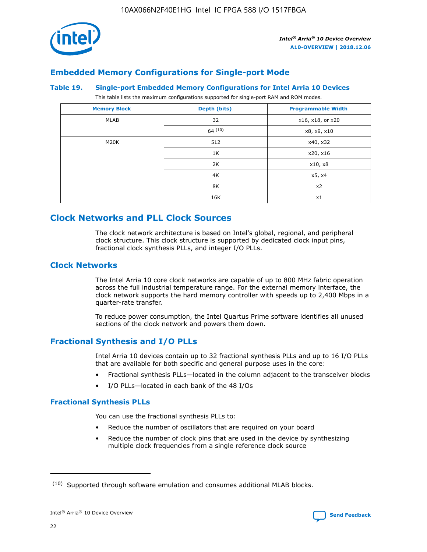

# **Embedded Memory Configurations for Single-port Mode**

#### **Table 19. Single-port Embedded Memory Configurations for Intel Arria 10 Devices**

This table lists the maximum configurations supported for single-port RAM and ROM modes.

| <b>Memory Block</b> | Depth (bits) | <b>Programmable Width</b> |
|---------------------|--------------|---------------------------|
| MLAB                | 32           | x16, x18, or x20          |
|                     | 64(10)       | x8, x9, x10               |
| M20K                | 512          | x40, x32                  |
|                     | 1K           | x20, x16                  |
|                     | 2K           | x10, x8                   |
|                     | 4K           | x5, x4                    |
|                     | 8K           | x2                        |
|                     | 16K          | x1                        |

# **Clock Networks and PLL Clock Sources**

The clock network architecture is based on Intel's global, regional, and peripheral clock structure. This clock structure is supported by dedicated clock input pins, fractional clock synthesis PLLs, and integer I/O PLLs.

# **Clock Networks**

The Intel Arria 10 core clock networks are capable of up to 800 MHz fabric operation across the full industrial temperature range. For the external memory interface, the clock network supports the hard memory controller with speeds up to 2,400 Mbps in a quarter-rate transfer.

To reduce power consumption, the Intel Quartus Prime software identifies all unused sections of the clock network and powers them down.

## **Fractional Synthesis and I/O PLLs**

Intel Arria 10 devices contain up to 32 fractional synthesis PLLs and up to 16 I/O PLLs that are available for both specific and general purpose uses in the core:

- Fractional synthesis PLLs—located in the column adjacent to the transceiver blocks
- I/O PLLs—located in each bank of the 48 I/Os

## **Fractional Synthesis PLLs**

You can use the fractional synthesis PLLs to:

- Reduce the number of oscillators that are required on your board
- Reduce the number of clock pins that are used in the device by synthesizing multiple clock frequencies from a single reference clock source

<sup>(10)</sup> Supported through software emulation and consumes additional MLAB blocks.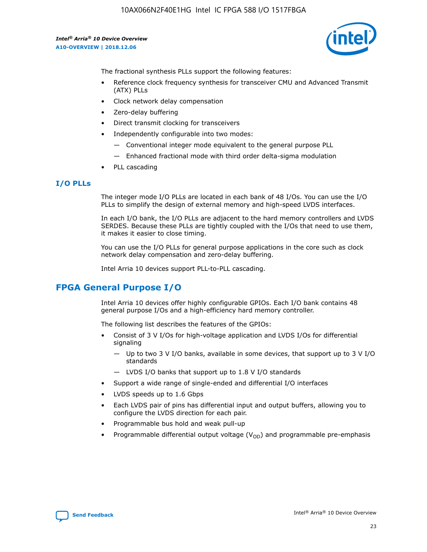

The fractional synthesis PLLs support the following features:

- Reference clock frequency synthesis for transceiver CMU and Advanced Transmit (ATX) PLLs
- Clock network delay compensation
- Zero-delay buffering
- Direct transmit clocking for transceivers
- Independently configurable into two modes:
	- Conventional integer mode equivalent to the general purpose PLL
	- Enhanced fractional mode with third order delta-sigma modulation
- PLL cascading

## **I/O PLLs**

The integer mode I/O PLLs are located in each bank of 48 I/Os. You can use the I/O PLLs to simplify the design of external memory and high-speed LVDS interfaces.

In each I/O bank, the I/O PLLs are adjacent to the hard memory controllers and LVDS SERDES. Because these PLLs are tightly coupled with the I/Os that need to use them, it makes it easier to close timing.

You can use the I/O PLLs for general purpose applications in the core such as clock network delay compensation and zero-delay buffering.

Intel Arria 10 devices support PLL-to-PLL cascading.

# **FPGA General Purpose I/O**

Intel Arria 10 devices offer highly configurable GPIOs. Each I/O bank contains 48 general purpose I/Os and a high-efficiency hard memory controller.

The following list describes the features of the GPIOs:

- Consist of 3 V I/Os for high-voltage application and LVDS I/Os for differential signaling
	- Up to two 3 V I/O banks, available in some devices, that support up to 3 V I/O standards
	- LVDS I/O banks that support up to 1.8 V I/O standards
- Support a wide range of single-ended and differential I/O interfaces
- LVDS speeds up to 1.6 Gbps
- Each LVDS pair of pins has differential input and output buffers, allowing you to configure the LVDS direction for each pair.
- Programmable bus hold and weak pull-up
- Programmable differential output voltage  $(V_{OD})$  and programmable pre-emphasis

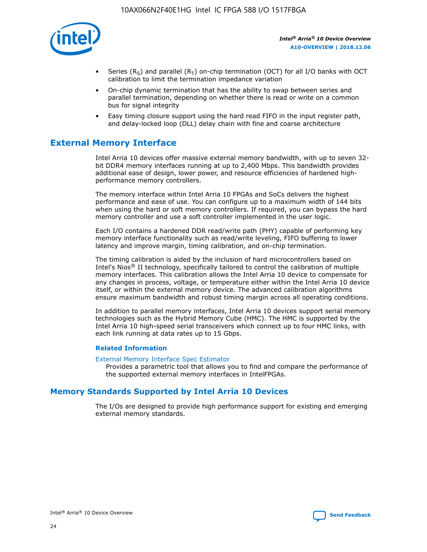

- Series (R<sub>S</sub>) and parallel (R<sub>T</sub>) on-chip termination (OCT) for all I/O banks with OCT calibration to limit the termination impedance variation
- On-chip dynamic termination that has the ability to swap between series and parallel termination, depending on whether there is read or write on a common bus for signal integrity
- Easy timing closure support using the hard read FIFO in the input register path, and delay-locked loop (DLL) delay chain with fine and coarse architecture

# **External Memory Interface**

Intel Arria 10 devices offer massive external memory bandwidth, with up to seven 32 bit DDR4 memory interfaces running at up to 2,400 Mbps. This bandwidth provides additional ease of design, lower power, and resource efficiencies of hardened highperformance memory controllers.

The memory interface within Intel Arria 10 FPGAs and SoCs delivers the highest performance and ease of use. You can configure up to a maximum width of 144 bits when using the hard or soft memory controllers. If required, you can bypass the hard memory controller and use a soft controller implemented in the user logic.

Each I/O contains a hardened DDR read/write path (PHY) capable of performing key memory interface functionality such as read/write leveling, FIFO buffering to lower latency and improve margin, timing calibration, and on-chip termination.

The timing calibration is aided by the inclusion of hard microcontrollers based on Intel's Nios® II technology, specifically tailored to control the calibration of multiple memory interfaces. This calibration allows the Intel Arria 10 device to compensate for any changes in process, voltage, or temperature either within the Intel Arria 10 device itself, or within the external memory device. The advanced calibration algorithms ensure maximum bandwidth and robust timing margin across all operating conditions.

In addition to parallel memory interfaces, Intel Arria 10 devices support serial memory technologies such as the Hybrid Memory Cube (HMC). The HMC is supported by the Intel Arria 10 high-speed serial transceivers which connect up to four HMC links, with each link running at data rates up to 15 Gbps.

#### **Related Information**

#### [External Memory Interface Spec Estimator](http://www.altera.com/technology/memory/estimator/mem-emif-index.html)

Provides a parametric tool that allows you to find and compare the performance of the supported external memory interfaces in IntelFPGAs.

# **Memory Standards Supported by Intel Arria 10 Devices**

The I/Os are designed to provide high performance support for existing and emerging external memory standards.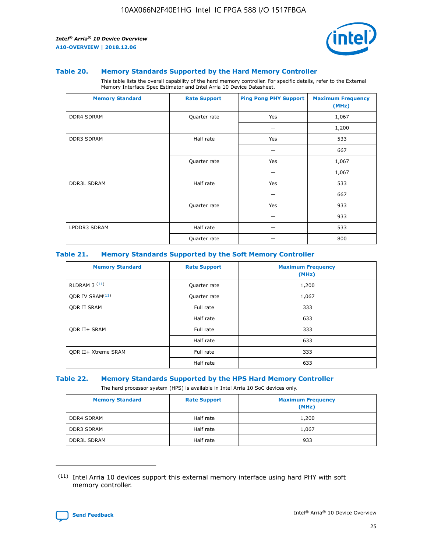

#### **Table 20. Memory Standards Supported by the Hard Memory Controller**

This table lists the overall capability of the hard memory controller. For specific details, refer to the External Memory Interface Spec Estimator and Intel Arria 10 Device Datasheet.

| <b>Memory Standard</b> | <b>Rate Support</b> | <b>Ping Pong PHY Support</b> | <b>Maximum Frequency</b><br>(MHz) |
|------------------------|---------------------|------------------------------|-----------------------------------|
| <b>DDR4 SDRAM</b>      | Quarter rate        | Yes                          | 1,067                             |
|                        |                     |                              | 1,200                             |
| DDR3 SDRAM             | Half rate           | Yes                          | 533                               |
|                        |                     |                              | 667                               |
|                        | Quarter rate        | Yes                          | 1,067                             |
|                        |                     |                              | 1,067                             |
| <b>DDR3L SDRAM</b>     | Half rate           | Yes                          | 533                               |
|                        |                     |                              | 667                               |
|                        | Quarter rate        | Yes                          | 933                               |
|                        |                     |                              | 933                               |
| LPDDR3 SDRAM           | Half rate           |                              | 533                               |
|                        | Quarter rate        |                              | 800                               |

#### **Table 21. Memory Standards Supported by the Soft Memory Controller**

| <b>Memory Standard</b>      | <b>Rate Support</b> | <b>Maximum Frequency</b><br>(MHz) |
|-----------------------------|---------------------|-----------------------------------|
| <b>RLDRAM 3 (11)</b>        | Quarter rate        | 1,200                             |
| ODR IV SRAM <sup>(11)</sup> | Quarter rate        | 1,067                             |
| <b>ODR II SRAM</b>          | Full rate           | 333                               |
|                             | Half rate           | 633                               |
| <b>ODR II+ SRAM</b>         | Full rate           | 333                               |
|                             | Half rate           | 633                               |
| <b>ODR II+ Xtreme SRAM</b>  | Full rate           | 333                               |
|                             | Half rate           | 633                               |

#### **Table 22. Memory Standards Supported by the HPS Hard Memory Controller**

The hard processor system (HPS) is available in Intel Arria 10 SoC devices only.

| <b>Memory Standard</b> | <b>Rate Support</b> | <b>Maximum Frequency</b><br>(MHz) |
|------------------------|---------------------|-----------------------------------|
| <b>DDR4 SDRAM</b>      | Half rate           | 1,200                             |
| <b>DDR3 SDRAM</b>      | Half rate           | 1,067                             |
| <b>DDR3L SDRAM</b>     | Half rate           | 933                               |

<sup>(11)</sup> Intel Arria 10 devices support this external memory interface using hard PHY with soft memory controller.

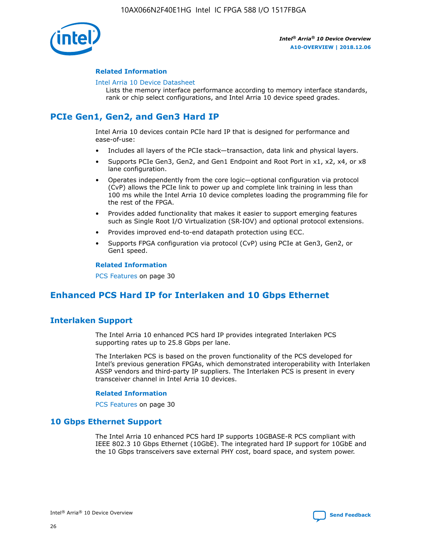

#### **Related Information**

#### [Intel Arria 10 Device Datasheet](https://www.intel.com/content/www/us/en/programmable/documentation/mcn1413182292568.html#mcn1413182153340)

Lists the memory interface performance according to memory interface standards, rank or chip select configurations, and Intel Arria 10 device speed grades.

# **PCIe Gen1, Gen2, and Gen3 Hard IP**

Intel Arria 10 devices contain PCIe hard IP that is designed for performance and ease-of-use:

- Includes all layers of the PCIe stack—transaction, data link and physical layers.
- Supports PCIe Gen3, Gen2, and Gen1 Endpoint and Root Port in x1, x2, x4, or x8 lane configuration.
- Operates independently from the core logic—optional configuration via protocol (CvP) allows the PCIe link to power up and complete link training in less than 100 ms while the Intel Arria 10 device completes loading the programming file for the rest of the FPGA.
- Provides added functionality that makes it easier to support emerging features such as Single Root I/O Virtualization (SR-IOV) and optional protocol extensions.
- Provides improved end-to-end datapath protection using ECC.
- Supports FPGA configuration via protocol (CvP) using PCIe at Gen3, Gen2, or Gen1 speed.

#### **Related Information**

PCS Features on page 30

# **Enhanced PCS Hard IP for Interlaken and 10 Gbps Ethernet**

# **Interlaken Support**

The Intel Arria 10 enhanced PCS hard IP provides integrated Interlaken PCS supporting rates up to 25.8 Gbps per lane.

The Interlaken PCS is based on the proven functionality of the PCS developed for Intel's previous generation FPGAs, which demonstrated interoperability with Interlaken ASSP vendors and third-party IP suppliers. The Interlaken PCS is present in every transceiver channel in Intel Arria 10 devices.

#### **Related Information**

PCS Features on page 30

## **10 Gbps Ethernet Support**

The Intel Arria 10 enhanced PCS hard IP supports 10GBASE-R PCS compliant with IEEE 802.3 10 Gbps Ethernet (10GbE). The integrated hard IP support for 10GbE and the 10 Gbps transceivers save external PHY cost, board space, and system power.

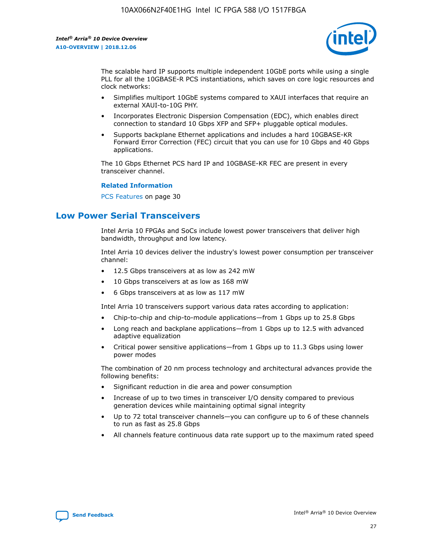

The scalable hard IP supports multiple independent 10GbE ports while using a single PLL for all the 10GBASE-R PCS instantiations, which saves on core logic resources and clock networks:

- Simplifies multiport 10GbE systems compared to XAUI interfaces that require an external XAUI-to-10G PHY.
- Incorporates Electronic Dispersion Compensation (EDC), which enables direct connection to standard 10 Gbps XFP and SFP+ pluggable optical modules.
- Supports backplane Ethernet applications and includes a hard 10GBASE-KR Forward Error Correction (FEC) circuit that you can use for 10 Gbps and 40 Gbps applications.

The 10 Gbps Ethernet PCS hard IP and 10GBASE-KR FEC are present in every transceiver channel.

#### **Related Information**

PCS Features on page 30

# **Low Power Serial Transceivers**

Intel Arria 10 FPGAs and SoCs include lowest power transceivers that deliver high bandwidth, throughput and low latency.

Intel Arria 10 devices deliver the industry's lowest power consumption per transceiver channel:

- 12.5 Gbps transceivers at as low as 242 mW
- 10 Gbps transceivers at as low as 168 mW
- 6 Gbps transceivers at as low as 117 mW

Intel Arria 10 transceivers support various data rates according to application:

- Chip-to-chip and chip-to-module applications—from 1 Gbps up to 25.8 Gbps
- Long reach and backplane applications—from 1 Gbps up to 12.5 with advanced adaptive equalization
- Critical power sensitive applications—from 1 Gbps up to 11.3 Gbps using lower power modes

The combination of 20 nm process technology and architectural advances provide the following benefits:

- Significant reduction in die area and power consumption
- Increase of up to two times in transceiver I/O density compared to previous generation devices while maintaining optimal signal integrity
- Up to 72 total transceiver channels—you can configure up to 6 of these channels to run as fast as 25.8 Gbps
- All channels feature continuous data rate support up to the maximum rated speed

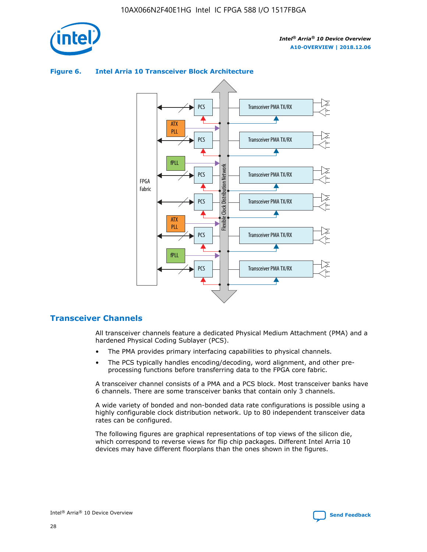

# Transceiver PMA TX/RX PCS ATX PLL Transceiver PMA TX/RX PCS fPLL Network Flexible Clock Distribution Network PCS Transceiver PMA TX/RX FPGA **Clock Distribution** Fabric PCS Transceiver PMA TX/RX ATX Flexible PLL PCS Transceiver PMA TX/RX ▲ fPLL Transceiver PMA TX/RX PCS 4

## **Figure 6. Intel Arria 10 Transceiver Block Architecture**

# **Transceiver Channels**

All transceiver channels feature a dedicated Physical Medium Attachment (PMA) and a hardened Physical Coding Sublayer (PCS).

- The PMA provides primary interfacing capabilities to physical channels.
- The PCS typically handles encoding/decoding, word alignment, and other preprocessing functions before transferring data to the FPGA core fabric.

A transceiver channel consists of a PMA and a PCS block. Most transceiver banks have 6 channels. There are some transceiver banks that contain only 3 channels.

A wide variety of bonded and non-bonded data rate configurations is possible using a highly configurable clock distribution network. Up to 80 independent transceiver data rates can be configured.

The following figures are graphical representations of top views of the silicon die, which correspond to reverse views for flip chip packages. Different Intel Arria 10 devices may have different floorplans than the ones shown in the figures.

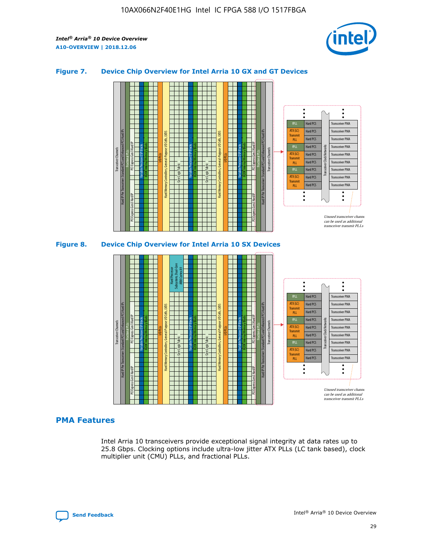

## **Figure 7. Device Chip Overview for Intel Arria 10 GX and GT Devices**





## **PMA Features**

Intel Arria 10 transceivers provide exceptional signal integrity at data rates up to 25.8 Gbps. Clocking options include ultra-low jitter ATX PLLs (LC tank based), clock multiplier unit (CMU) PLLs, and fractional PLLs.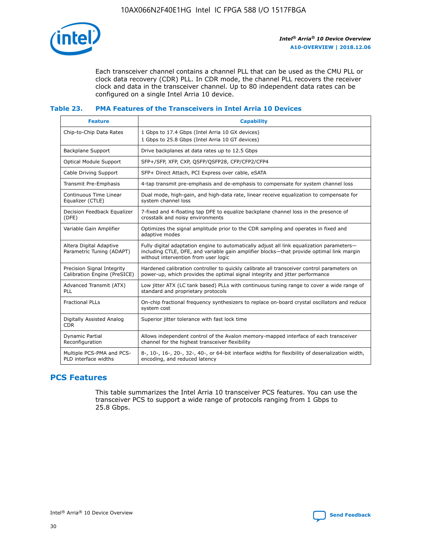

Each transceiver channel contains a channel PLL that can be used as the CMU PLL or clock data recovery (CDR) PLL. In CDR mode, the channel PLL recovers the receiver clock and data in the transceiver channel. Up to 80 independent data rates can be configured on a single Intel Arria 10 device.

## **Table 23. PMA Features of the Transceivers in Intel Arria 10 Devices**

| <b>Feature</b>                                             | <b>Capability</b>                                                                                                                                                                                                             |
|------------------------------------------------------------|-------------------------------------------------------------------------------------------------------------------------------------------------------------------------------------------------------------------------------|
| Chip-to-Chip Data Rates                                    | 1 Gbps to 17.4 Gbps (Intel Arria 10 GX devices)<br>1 Gbps to 25.8 Gbps (Intel Arria 10 GT devices)                                                                                                                            |
| Backplane Support                                          | Drive backplanes at data rates up to 12.5 Gbps                                                                                                                                                                                |
| <b>Optical Module Support</b>                              | SFP+/SFP, XFP, CXP, QSFP/QSFP28, CFP/CFP2/CFP4                                                                                                                                                                                |
| Cable Driving Support                                      | SFP+ Direct Attach, PCI Express over cable, eSATA                                                                                                                                                                             |
| Transmit Pre-Emphasis                                      | 4-tap transmit pre-emphasis and de-emphasis to compensate for system channel loss                                                                                                                                             |
| Continuous Time Linear<br>Equalizer (CTLE)                 | Dual mode, high-gain, and high-data rate, linear receive equalization to compensate for<br>system channel loss                                                                                                                |
| Decision Feedback Equalizer<br>(DFE)                       | 7-fixed and 4-floating tap DFE to equalize backplane channel loss in the presence of<br>crosstalk and noisy environments                                                                                                      |
| Variable Gain Amplifier                                    | Optimizes the signal amplitude prior to the CDR sampling and operates in fixed and<br>adaptive modes                                                                                                                          |
| Altera Digital Adaptive<br>Parametric Tuning (ADAPT)       | Fully digital adaptation engine to automatically adjust all link equalization parameters-<br>including CTLE, DFE, and variable gain amplifier blocks—that provide optimal link margin<br>without intervention from user logic |
| Precision Signal Integrity<br>Calibration Engine (PreSICE) | Hardened calibration controller to quickly calibrate all transceiver control parameters on<br>power-up, which provides the optimal signal integrity and jitter performance                                                    |
| Advanced Transmit (ATX)<br>PLL                             | Low jitter ATX (LC tank based) PLLs with continuous tuning range to cover a wide range of<br>standard and proprietary protocols                                                                                               |
| <b>Fractional PLLs</b>                                     | On-chip fractional frequency synthesizers to replace on-board crystal oscillators and reduce<br>system cost                                                                                                                   |
| Digitally Assisted Analog<br><b>CDR</b>                    | Superior jitter tolerance with fast lock time                                                                                                                                                                                 |
| Dynamic Partial<br>Reconfiguration                         | Allows independent control of the Avalon memory-mapped interface of each transceiver<br>channel for the highest transceiver flexibility                                                                                       |
| Multiple PCS-PMA and PCS-<br>PLD interface widths          | 8-, 10-, 16-, 20-, 32-, 40-, or 64-bit interface widths for flexibility of deserialization width,<br>encoding, and reduced latency                                                                                            |

# **PCS Features**

This table summarizes the Intel Arria 10 transceiver PCS features. You can use the transceiver PCS to support a wide range of protocols ranging from 1 Gbps to 25.8 Gbps.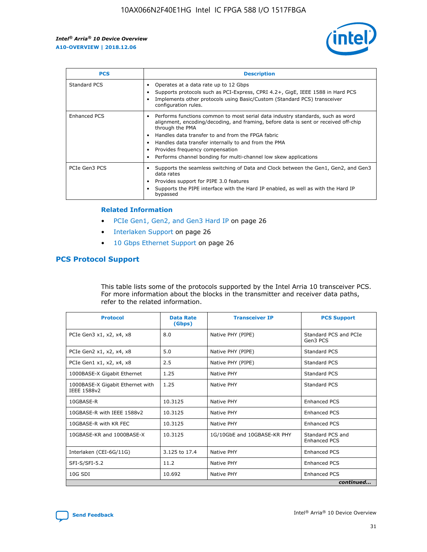

| <b>PCS</b>    | <b>Description</b>                                                                                                                                                                                                                                                                                                                                                                                             |
|---------------|----------------------------------------------------------------------------------------------------------------------------------------------------------------------------------------------------------------------------------------------------------------------------------------------------------------------------------------------------------------------------------------------------------------|
| Standard PCS  | Operates at a data rate up to 12 Gbps<br>Supports protocols such as PCI-Express, CPRI 4.2+, GigE, IEEE 1588 in Hard PCS<br>Implements other protocols using Basic/Custom (Standard PCS) transceiver<br>configuration rules.                                                                                                                                                                                    |
| Enhanced PCS  | Performs functions common to most serial data industry standards, such as word<br>alignment, encoding/decoding, and framing, before data is sent or received off-chip<br>through the PMA<br>• Handles data transfer to and from the FPGA fabric<br>Handles data transfer internally to and from the PMA<br>Provides frequency compensation<br>Performs channel bonding for multi-channel low skew applications |
| PCIe Gen3 PCS | Supports the seamless switching of Data and Clock between the Gen1, Gen2, and Gen3<br>data rates<br>Provides support for PIPE 3.0 features<br>Supports the PIPE interface with the Hard IP enabled, as well as with the Hard IP<br>bypassed                                                                                                                                                                    |

#### **Related Information**

- PCIe Gen1, Gen2, and Gen3 Hard IP on page 26
- Interlaken Support on page 26
- 10 Gbps Ethernet Support on page 26

# **PCS Protocol Support**

This table lists some of the protocols supported by the Intel Arria 10 transceiver PCS. For more information about the blocks in the transmitter and receiver data paths, refer to the related information.

| <b>Protocol</b>                                 | <b>Data Rate</b><br>(Gbps) | <b>Transceiver IP</b>       | <b>PCS Support</b>                      |
|-------------------------------------------------|----------------------------|-----------------------------|-----------------------------------------|
| PCIe Gen3 x1, x2, x4, x8                        | 8.0                        | Native PHY (PIPE)           | Standard PCS and PCIe<br>Gen3 PCS       |
| PCIe Gen2 x1, x2, x4, x8                        | 5.0                        | Native PHY (PIPE)           | <b>Standard PCS</b>                     |
| PCIe Gen1 x1, x2, x4, x8                        | 2.5                        | Native PHY (PIPE)           | Standard PCS                            |
| 1000BASE-X Gigabit Ethernet                     | 1.25                       | Native PHY                  | <b>Standard PCS</b>                     |
| 1000BASE-X Gigabit Ethernet with<br>IEEE 1588v2 | 1.25                       | Native PHY                  | Standard PCS                            |
| 10GBASE-R                                       | 10.3125                    | Native PHY                  | <b>Enhanced PCS</b>                     |
| 10GBASE-R with IEEE 1588v2                      | 10.3125                    | Native PHY                  | <b>Enhanced PCS</b>                     |
| 10GBASE-R with KR FEC                           | 10.3125                    | Native PHY                  | <b>Enhanced PCS</b>                     |
| 10GBASE-KR and 1000BASE-X                       | 10.3125                    | 1G/10GbE and 10GBASE-KR PHY | Standard PCS and<br><b>Enhanced PCS</b> |
| Interlaken (CEI-6G/11G)                         | 3.125 to 17.4              | Native PHY                  | <b>Enhanced PCS</b>                     |
| SFI-S/SFI-5.2                                   | 11.2                       | Native PHY                  | <b>Enhanced PCS</b>                     |
| $10G$ SDI                                       | 10.692                     | Native PHY                  | <b>Enhanced PCS</b>                     |
|                                                 |                            |                             | continued                               |

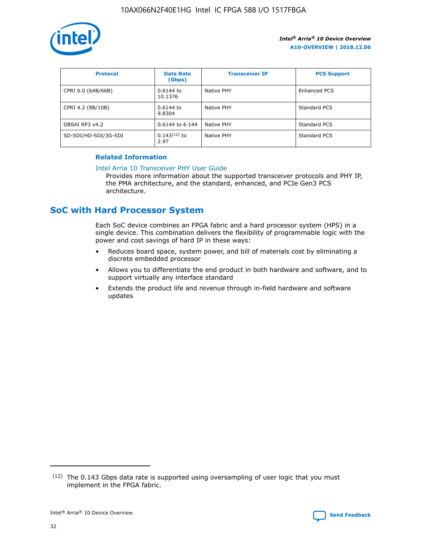

| <b>Protocol</b>      | <b>Data Rate</b><br>(Gbps) | <b>Transceiver IP</b> | <b>PCS Support</b> |
|----------------------|----------------------------|-----------------------|--------------------|
| CPRI 6.0 (64B/66B)   | 0.6144 to<br>10.1376       | Native PHY            | Enhanced PCS       |
| CPRI 4.2 (8B/10B)    | 0.6144 to<br>9.8304        | Native PHY            | Standard PCS       |
| OBSAI RP3 v4.2       | 0.6144 to 6.144            | Native PHY            | Standard PCS       |
| SD-SDI/HD-SDI/3G-SDI | $0.143(12)$ to<br>2.97     | Native PHY            | Standard PCS       |

## **Related Information**

#### [Intel Arria 10 Transceiver PHY User Guide](https://www.intel.com/content/www/us/en/programmable/documentation/nik1398707230472.html#nik1398707091164)

Provides more information about the supported transceiver protocols and PHY IP, the PMA architecture, and the standard, enhanced, and PCIe Gen3 PCS architecture.

# **SoC with Hard Processor System**

Each SoC device combines an FPGA fabric and a hard processor system (HPS) in a single device. This combination delivers the flexibility of programmable logic with the power and cost savings of hard IP in these ways:

- Reduces board space, system power, and bill of materials cost by eliminating a discrete embedded processor
- Allows you to differentiate the end product in both hardware and software, and to support virtually any interface standard
- Extends the product life and revenue through in-field hardware and software updates

 $(12)$  The 0.143 Gbps data rate is supported using oversampling of user logic that you must implement in the FPGA fabric.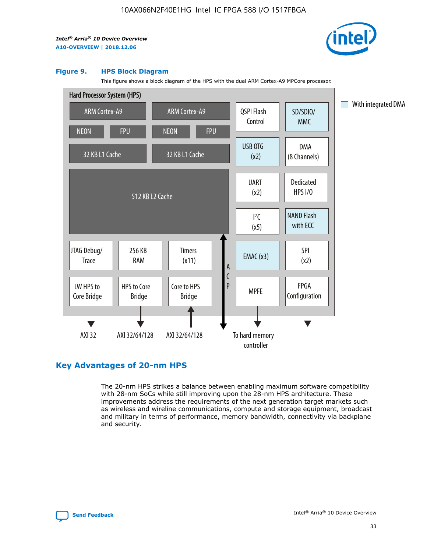

#### **Figure 9. HPS Block Diagram**

This figure shows a block diagram of the HPS with the dual ARM Cortex-A9 MPCore processor.



# **Key Advantages of 20-nm HPS**

The 20-nm HPS strikes a balance between enabling maximum software compatibility with 28-nm SoCs while still improving upon the 28-nm HPS architecture. These improvements address the requirements of the next generation target markets such as wireless and wireline communications, compute and storage equipment, broadcast and military in terms of performance, memory bandwidth, connectivity via backplane and security.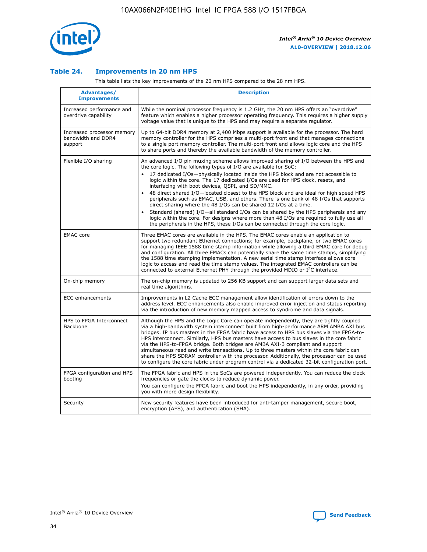

## **Table 24. Improvements in 20 nm HPS**

This table lists the key improvements of the 20 nm HPS compared to the 28 nm HPS.

| Advantages/<br><b>Improvements</b>                          | <b>Description</b>                                                                                                                                                                                                                                                                                                                                                                                                                                                                                                                                                                                                                                                                                                                                                                                                                                                                                                      |
|-------------------------------------------------------------|-------------------------------------------------------------------------------------------------------------------------------------------------------------------------------------------------------------------------------------------------------------------------------------------------------------------------------------------------------------------------------------------------------------------------------------------------------------------------------------------------------------------------------------------------------------------------------------------------------------------------------------------------------------------------------------------------------------------------------------------------------------------------------------------------------------------------------------------------------------------------------------------------------------------------|
| Increased performance and<br>overdrive capability           | While the nominal processor frequency is 1.2 GHz, the 20 nm HPS offers an "overdrive"<br>feature which enables a higher processor operating frequency. This requires a higher supply<br>voltage value that is unique to the HPS and may require a separate regulator.                                                                                                                                                                                                                                                                                                                                                                                                                                                                                                                                                                                                                                                   |
| Increased processor memory<br>bandwidth and DDR4<br>support | Up to 64-bit DDR4 memory at 2,400 Mbps support is available for the processor. The hard<br>memory controller for the HPS comprises a multi-port front end that manages connections<br>to a single port memory controller. The multi-port front end allows logic core and the HPS<br>to share ports and thereby the available bandwidth of the memory controller.                                                                                                                                                                                                                                                                                                                                                                                                                                                                                                                                                        |
| Flexible I/O sharing                                        | An advanced I/O pin muxing scheme allows improved sharing of I/O between the HPS and<br>the core logic. The following types of I/O are available for SoC:<br>17 dedicated I/Os-physically located inside the HPS block and are not accessible to<br>logic within the core. The 17 dedicated I/Os are used for HPS clock, resets, and<br>interfacing with boot devices, QSPI, and SD/MMC.<br>48 direct shared I/O-located closest to the HPS block and are ideal for high speed HPS<br>peripherals such as EMAC, USB, and others. There is one bank of 48 I/Os that supports<br>direct sharing where the 48 I/Os can be shared 12 I/Os at a time.<br>Standard (shared) I/O-all standard I/Os can be shared by the HPS peripherals and any<br>logic within the core. For designs where more than 48 I/Os are reguired to fully use all<br>the peripherals in the HPS, these I/Os can be connected through the core logic. |
| <b>EMAC</b> core                                            | Three EMAC cores are available in the HPS. The EMAC cores enable an application to<br>support two redundant Ethernet connections; for example, backplane, or two EMAC cores<br>for managing IEEE 1588 time stamp information while allowing a third EMAC core for debug<br>and configuration. All three EMACs can potentially share the same time stamps, simplifying<br>the 1588 time stamping implementation. A new serial time stamp interface allows core<br>logic to access and read the time stamp values. The integrated EMAC controllers can be<br>connected to external Ethernet PHY through the provided MDIO or I <sup>2</sup> C interface.                                                                                                                                                                                                                                                                  |
| On-chip memory                                              | The on-chip memory is updated to 256 KB support and can support larger data sets and<br>real time algorithms.                                                                                                                                                                                                                                                                                                                                                                                                                                                                                                                                                                                                                                                                                                                                                                                                           |
| <b>ECC</b> enhancements                                     | Improvements in L2 Cache ECC management allow identification of errors down to the<br>address level. ECC enhancements also enable improved error injection and status reporting<br>via the introduction of new memory mapped access to syndrome and data signals.                                                                                                                                                                                                                                                                                                                                                                                                                                                                                                                                                                                                                                                       |
| HPS to FPGA Interconnect<br>Backbone                        | Although the HPS and the Logic Core can operate independently, they are tightly coupled<br>via a high-bandwidth system interconnect built from high-performance ARM AMBA AXI bus<br>bridges. IP bus masters in the FPGA fabric have access to HPS bus slaves via the FPGA-to-<br>HPS interconnect. Similarly, HPS bus masters have access to bus slaves in the core fabric<br>via the HPS-to-FPGA bridge. Both bridges are AMBA AXI-3 compliant and support<br>simultaneous read and write transactions. Up to three masters within the core fabric can<br>share the HPS SDRAM controller with the processor. Additionally, the processor can be used<br>to configure the core fabric under program control via a dedicated 32-bit configuration port.                                                                                                                                                                  |
| FPGA configuration and HPS<br>booting                       | The FPGA fabric and HPS in the SoCs are powered independently. You can reduce the clock<br>frequencies or gate the clocks to reduce dynamic power.<br>You can configure the FPGA fabric and boot the HPS independently, in any order, providing<br>you with more design flexibility.                                                                                                                                                                                                                                                                                                                                                                                                                                                                                                                                                                                                                                    |
| Security                                                    | New security features have been introduced for anti-tamper management, secure boot,<br>encryption (AES), and authentication (SHA).                                                                                                                                                                                                                                                                                                                                                                                                                                                                                                                                                                                                                                                                                                                                                                                      |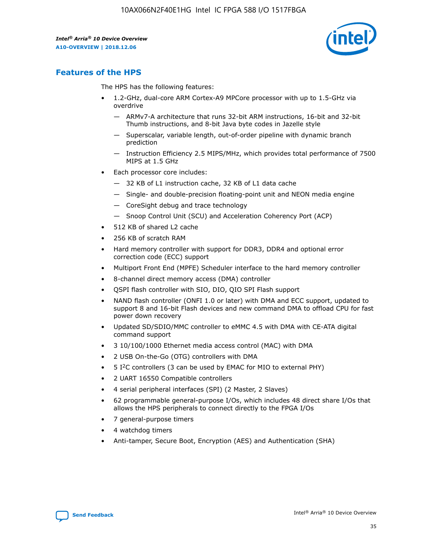

# **Features of the HPS**

The HPS has the following features:

- 1.2-GHz, dual-core ARM Cortex-A9 MPCore processor with up to 1.5-GHz via overdrive
	- ARMv7-A architecture that runs 32-bit ARM instructions, 16-bit and 32-bit Thumb instructions, and 8-bit Java byte codes in Jazelle style
	- Superscalar, variable length, out-of-order pipeline with dynamic branch prediction
	- Instruction Efficiency 2.5 MIPS/MHz, which provides total performance of 7500 MIPS at 1.5 GHz
- Each processor core includes:
	- 32 KB of L1 instruction cache, 32 KB of L1 data cache
	- Single- and double-precision floating-point unit and NEON media engine
	- CoreSight debug and trace technology
	- Snoop Control Unit (SCU) and Acceleration Coherency Port (ACP)
- 512 KB of shared L2 cache
- 256 KB of scratch RAM
- Hard memory controller with support for DDR3, DDR4 and optional error correction code (ECC) support
- Multiport Front End (MPFE) Scheduler interface to the hard memory controller
- 8-channel direct memory access (DMA) controller
- QSPI flash controller with SIO, DIO, QIO SPI Flash support
- NAND flash controller (ONFI 1.0 or later) with DMA and ECC support, updated to support 8 and 16-bit Flash devices and new command DMA to offload CPU for fast power down recovery
- Updated SD/SDIO/MMC controller to eMMC 4.5 with DMA with CE-ATA digital command support
- 3 10/100/1000 Ethernet media access control (MAC) with DMA
- 2 USB On-the-Go (OTG) controllers with DMA
- $\bullet$  5 I<sup>2</sup>C controllers (3 can be used by EMAC for MIO to external PHY)
- 2 UART 16550 Compatible controllers
- 4 serial peripheral interfaces (SPI) (2 Master, 2 Slaves)
- 62 programmable general-purpose I/Os, which includes 48 direct share I/Os that allows the HPS peripherals to connect directly to the FPGA I/Os
- 7 general-purpose timers
- 4 watchdog timers
- Anti-tamper, Secure Boot, Encryption (AES) and Authentication (SHA)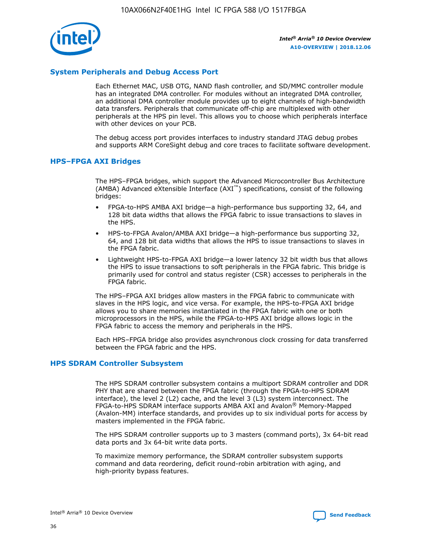

## **System Peripherals and Debug Access Port**

Each Ethernet MAC, USB OTG, NAND flash controller, and SD/MMC controller module has an integrated DMA controller. For modules without an integrated DMA controller, an additional DMA controller module provides up to eight channels of high-bandwidth data transfers. Peripherals that communicate off-chip are multiplexed with other peripherals at the HPS pin level. This allows you to choose which peripherals interface with other devices on your PCB.

The debug access port provides interfaces to industry standard JTAG debug probes and supports ARM CoreSight debug and core traces to facilitate software development.

#### **HPS–FPGA AXI Bridges**

The HPS–FPGA bridges, which support the Advanced Microcontroller Bus Architecture (AMBA) Advanced eXtensible Interface (AXI™) specifications, consist of the following bridges:

- FPGA-to-HPS AMBA AXI bridge—a high-performance bus supporting 32, 64, and 128 bit data widths that allows the FPGA fabric to issue transactions to slaves in the HPS.
- HPS-to-FPGA Avalon/AMBA AXI bridge—a high-performance bus supporting 32, 64, and 128 bit data widths that allows the HPS to issue transactions to slaves in the FPGA fabric.
- Lightweight HPS-to-FPGA AXI bridge—a lower latency 32 bit width bus that allows the HPS to issue transactions to soft peripherals in the FPGA fabric. This bridge is primarily used for control and status register (CSR) accesses to peripherals in the FPGA fabric.

The HPS–FPGA AXI bridges allow masters in the FPGA fabric to communicate with slaves in the HPS logic, and vice versa. For example, the HPS-to-FPGA AXI bridge allows you to share memories instantiated in the FPGA fabric with one or both microprocessors in the HPS, while the FPGA-to-HPS AXI bridge allows logic in the FPGA fabric to access the memory and peripherals in the HPS.

Each HPS–FPGA bridge also provides asynchronous clock crossing for data transferred between the FPGA fabric and the HPS.

#### **HPS SDRAM Controller Subsystem**

The HPS SDRAM controller subsystem contains a multiport SDRAM controller and DDR PHY that are shared between the FPGA fabric (through the FPGA-to-HPS SDRAM interface), the level 2 (L2) cache, and the level 3 (L3) system interconnect. The FPGA-to-HPS SDRAM interface supports AMBA AXI and Avalon® Memory-Mapped (Avalon-MM) interface standards, and provides up to six individual ports for access by masters implemented in the FPGA fabric.

The HPS SDRAM controller supports up to 3 masters (command ports), 3x 64-bit read data ports and 3x 64-bit write data ports.

To maximize memory performance, the SDRAM controller subsystem supports command and data reordering, deficit round-robin arbitration with aging, and high-priority bypass features.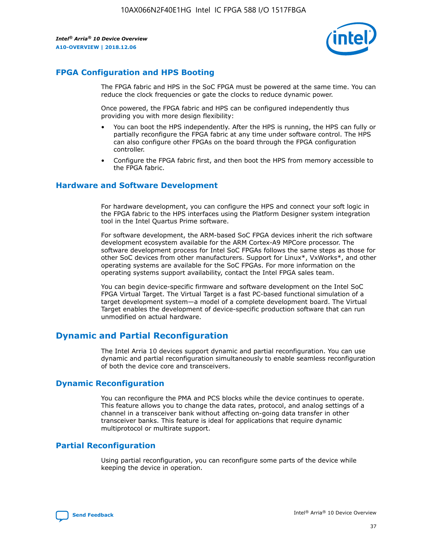

# **FPGA Configuration and HPS Booting**

The FPGA fabric and HPS in the SoC FPGA must be powered at the same time. You can reduce the clock frequencies or gate the clocks to reduce dynamic power.

Once powered, the FPGA fabric and HPS can be configured independently thus providing you with more design flexibility:

- You can boot the HPS independently. After the HPS is running, the HPS can fully or partially reconfigure the FPGA fabric at any time under software control. The HPS can also configure other FPGAs on the board through the FPGA configuration controller.
- Configure the FPGA fabric first, and then boot the HPS from memory accessible to the FPGA fabric.

## **Hardware and Software Development**

For hardware development, you can configure the HPS and connect your soft logic in the FPGA fabric to the HPS interfaces using the Platform Designer system integration tool in the Intel Quartus Prime software.

For software development, the ARM-based SoC FPGA devices inherit the rich software development ecosystem available for the ARM Cortex-A9 MPCore processor. The software development process for Intel SoC FPGAs follows the same steps as those for other SoC devices from other manufacturers. Support for Linux\*, VxWorks\*, and other operating systems are available for the SoC FPGAs. For more information on the operating systems support availability, contact the Intel FPGA sales team.

You can begin device-specific firmware and software development on the Intel SoC FPGA Virtual Target. The Virtual Target is a fast PC-based functional simulation of a target development system—a model of a complete development board. The Virtual Target enables the development of device-specific production software that can run unmodified on actual hardware.

# **Dynamic and Partial Reconfiguration**

The Intel Arria 10 devices support dynamic and partial reconfiguration. You can use dynamic and partial reconfiguration simultaneously to enable seamless reconfiguration of both the device core and transceivers.

# **Dynamic Reconfiguration**

You can reconfigure the PMA and PCS blocks while the device continues to operate. This feature allows you to change the data rates, protocol, and analog settings of a channel in a transceiver bank without affecting on-going data transfer in other transceiver banks. This feature is ideal for applications that require dynamic multiprotocol or multirate support.

# **Partial Reconfiguration**

Using partial reconfiguration, you can reconfigure some parts of the device while keeping the device in operation.

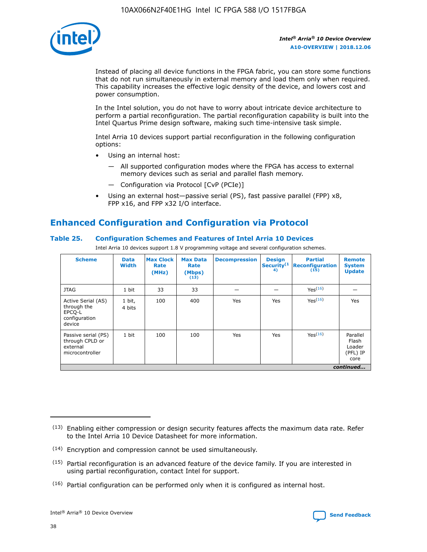

Instead of placing all device functions in the FPGA fabric, you can store some functions that do not run simultaneously in external memory and load them only when required. This capability increases the effective logic density of the device, and lowers cost and power consumption.

In the Intel solution, you do not have to worry about intricate device architecture to perform a partial reconfiguration. The partial reconfiguration capability is built into the Intel Quartus Prime design software, making such time-intensive task simple.

Intel Arria 10 devices support partial reconfiguration in the following configuration options:

- Using an internal host:
	- All supported configuration modes where the FPGA has access to external memory devices such as serial and parallel flash memory.
	- Configuration via Protocol [CvP (PCIe)]
- Using an external host—passive serial (PS), fast passive parallel (FPP) x8, FPP x16, and FPP x32 I/O interface.

# **Enhanced Configuration and Configuration via Protocol**

## **Table 25. Configuration Schemes and Features of Intel Arria 10 Devices**

Intel Arria 10 devices support 1.8 V programming voltage and several configuration schemes.

| <b>Scheme</b>                                                          | <b>Data</b><br><b>Width</b> | <b>Max Clock</b><br>Rate<br>(MHz) | <b>Max Data</b><br>Rate<br>(Mbps)<br>(13) | <b>Decompression</b> | <b>Design</b><br>Security <sup>(1</sup><br>4) | <b>Partial</b><br><b>Reconfiguration</b><br>(15) | <b>Remote</b><br><b>System</b><br><b>Update</b> |
|------------------------------------------------------------------------|-----------------------------|-----------------------------------|-------------------------------------------|----------------------|-----------------------------------------------|--------------------------------------------------|-------------------------------------------------|
| <b>JTAG</b>                                                            | 1 bit                       | 33                                | 33                                        |                      |                                               | Yes(16)                                          |                                                 |
| Active Serial (AS)<br>through the<br>EPCO-L<br>configuration<br>device | 1 bit,<br>4 bits            | 100                               | 400                                       | Yes                  | Yes                                           | $Y_{PS}(16)$                                     | Yes                                             |
| Passive serial (PS)<br>through CPLD or<br>external<br>microcontroller  | 1 bit                       | 100                               | 100                                       | Yes                  | Yes                                           | Yes(16)                                          | Parallel<br>Flash<br>Loader<br>(PFL) IP<br>core |
|                                                                        |                             |                                   |                                           |                      |                                               |                                                  | continued                                       |

<sup>(13)</sup> Enabling either compression or design security features affects the maximum data rate. Refer to the Intel Arria 10 Device Datasheet for more information.

<sup>(14)</sup> Encryption and compression cannot be used simultaneously.

 $(15)$  Partial reconfiguration is an advanced feature of the device family. If you are interested in using partial reconfiguration, contact Intel for support.

 $(16)$  Partial configuration can be performed only when it is configured as internal host.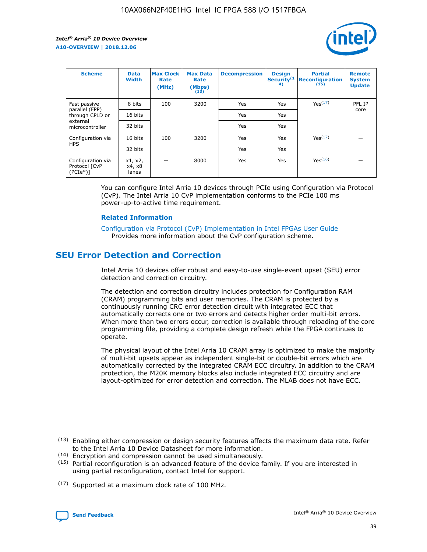

| <b>Scheme</b>                                    | <b>Data</b><br><b>Width</b> | <b>Max Clock</b><br>Rate<br>(MHz) | <b>Max Data</b><br>Rate<br>(Mbps)<br>(13) | <b>Decompression</b> | <b>Design</b><br>Security <sup>(1</sup><br>4) | <b>Partial</b><br><b>Reconfiguration</b><br>(15) | <b>Remote</b><br><b>System</b><br><b>Update</b> |
|--------------------------------------------------|-----------------------------|-----------------------------------|-------------------------------------------|----------------------|-----------------------------------------------|--------------------------------------------------|-------------------------------------------------|
| Fast passive                                     | 8 bits                      | 100                               | 3200                                      | Yes                  | Yes                                           | Yes(17)                                          | PFL IP                                          |
| parallel (FPP)<br>through CPLD or                | 16 bits                     |                                   |                                           | Yes                  | Yes                                           |                                                  | core                                            |
| external<br>microcontroller                      | 32 bits                     |                                   |                                           | Yes                  | Yes                                           |                                                  |                                                 |
| Configuration via                                | 16 bits                     | 100                               | 3200                                      | Yes                  | Yes                                           | Yes <sup>(17)</sup>                              |                                                 |
| <b>HPS</b>                                       | 32 bits                     |                                   |                                           | Yes                  | Yes                                           |                                                  |                                                 |
| Configuration via<br>Protocol [CvP<br>$(PCIe^*)$ | x1, x2,<br>x4, x8<br>lanes  |                                   | 8000                                      | Yes                  | Yes                                           | Yes(16)                                          |                                                 |

You can configure Intel Arria 10 devices through PCIe using Configuration via Protocol (CvP). The Intel Arria 10 CvP implementation conforms to the PCIe 100 ms power-up-to-active time requirement.

#### **Related Information**

[Configuration via Protocol \(CvP\) Implementation in Intel FPGAs User Guide](https://www.intel.com/content/www/us/en/programmable/documentation/dsu1441819344145.html#dsu1442269728522) Provides more information about the CvP configuration scheme.

# **SEU Error Detection and Correction**

Intel Arria 10 devices offer robust and easy-to-use single-event upset (SEU) error detection and correction circuitry.

The detection and correction circuitry includes protection for Configuration RAM (CRAM) programming bits and user memories. The CRAM is protected by a continuously running CRC error detection circuit with integrated ECC that automatically corrects one or two errors and detects higher order multi-bit errors. When more than two errors occur, correction is available through reloading of the core programming file, providing a complete design refresh while the FPGA continues to operate.

The physical layout of the Intel Arria 10 CRAM array is optimized to make the majority of multi-bit upsets appear as independent single-bit or double-bit errors which are automatically corrected by the integrated CRAM ECC circuitry. In addition to the CRAM protection, the M20K memory blocks also include integrated ECC circuitry and are layout-optimized for error detection and correction. The MLAB does not have ECC.

<sup>(17)</sup> Supported at a maximum clock rate of 100 MHz.



 $(13)$  Enabling either compression or design security features affects the maximum data rate. Refer to the Intel Arria 10 Device Datasheet for more information.

<sup>(14)</sup> Encryption and compression cannot be used simultaneously.

 $(15)$  Partial reconfiguration is an advanced feature of the device family. If you are interested in using partial reconfiguration, contact Intel for support.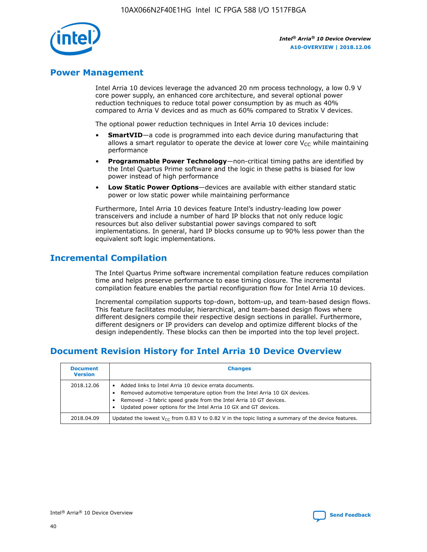

# **Power Management**

Intel Arria 10 devices leverage the advanced 20 nm process technology, a low 0.9 V core power supply, an enhanced core architecture, and several optional power reduction techniques to reduce total power consumption by as much as 40% compared to Arria V devices and as much as 60% compared to Stratix V devices.

The optional power reduction techniques in Intel Arria 10 devices include:

- **SmartVID**—a code is programmed into each device during manufacturing that allows a smart regulator to operate the device at lower core  $V_{CC}$  while maintaining performance
- **Programmable Power Technology**—non-critical timing paths are identified by the Intel Quartus Prime software and the logic in these paths is biased for low power instead of high performance
- **Low Static Power Options**—devices are available with either standard static power or low static power while maintaining performance

Furthermore, Intel Arria 10 devices feature Intel's industry-leading low power transceivers and include a number of hard IP blocks that not only reduce logic resources but also deliver substantial power savings compared to soft implementations. In general, hard IP blocks consume up to 90% less power than the equivalent soft logic implementations.

# **Incremental Compilation**

The Intel Quartus Prime software incremental compilation feature reduces compilation time and helps preserve performance to ease timing closure. The incremental compilation feature enables the partial reconfiguration flow for Intel Arria 10 devices.

Incremental compilation supports top-down, bottom-up, and team-based design flows. This feature facilitates modular, hierarchical, and team-based design flows where different designers compile their respective design sections in parallel. Furthermore, different designers or IP providers can develop and optimize different blocks of the design independently. These blocks can then be imported into the top level project.

# **Document Revision History for Intel Arria 10 Device Overview**

| <b>Document</b><br><b>Version</b> | <b>Changes</b>                                                                                                                                                                                                                                                              |
|-----------------------------------|-----------------------------------------------------------------------------------------------------------------------------------------------------------------------------------------------------------------------------------------------------------------------------|
| 2018.12.06                        | Added links to Intel Arria 10 device errata documents.<br>Removed automotive temperature option from the Intel Arria 10 GX devices.<br>Removed -3 fabric speed grade from the Intel Arria 10 GT devices.<br>Updated power options for the Intel Arria 10 GX and GT devices. |
| 2018.04.09                        | Updated the lowest $V_{CC}$ from 0.83 V to 0.82 V in the topic listing a summary of the device features.                                                                                                                                                                    |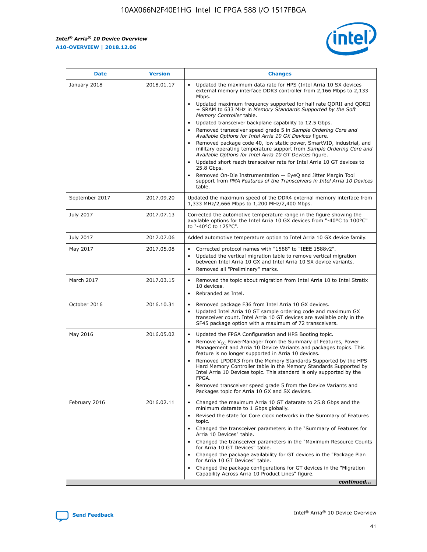

| <b>Date</b>    | <b>Version</b> | <b>Changes</b>                                                                                                                                                                                                                                                                                                                                                                                                                                                                                                                                                                                                                                                                                                                                                                                                                                                                                                                                               |
|----------------|----------------|--------------------------------------------------------------------------------------------------------------------------------------------------------------------------------------------------------------------------------------------------------------------------------------------------------------------------------------------------------------------------------------------------------------------------------------------------------------------------------------------------------------------------------------------------------------------------------------------------------------------------------------------------------------------------------------------------------------------------------------------------------------------------------------------------------------------------------------------------------------------------------------------------------------------------------------------------------------|
| January 2018   | 2018.01.17     | Updated the maximum data rate for HPS (Intel Arria 10 SX devices<br>external memory interface DDR3 controller from 2,166 Mbps to 2,133<br>Mbps.<br>Updated maximum frequency supported for half rate QDRII and QDRII<br>+ SRAM to 633 MHz in Memory Standards Supported by the Soft<br>Memory Controller table.<br>Updated transceiver backplane capability to 12.5 Gbps.<br>Removed transceiver speed grade 5 in Sample Ordering Core and<br>Available Options for Intel Arria 10 GX Devices figure.<br>Removed package code 40, low static power, SmartVID, industrial, and<br>military operating temperature support from Sample Ordering Core and<br>Available Options for Intel Arria 10 GT Devices figure.<br>Updated short reach transceiver rate for Intel Arria 10 GT devices to<br>25.8 Gbps.<br>Removed On-Die Instrumentation - EyeQ and Jitter Margin Tool<br>support from PMA Features of the Transceivers in Intel Arria 10 Devices<br>table. |
| September 2017 | 2017.09.20     | Updated the maximum speed of the DDR4 external memory interface from<br>1,333 MHz/2,666 Mbps to 1,200 MHz/2,400 Mbps.                                                                                                                                                                                                                                                                                                                                                                                                                                                                                                                                                                                                                                                                                                                                                                                                                                        |
| July 2017      | 2017.07.13     | Corrected the automotive temperature range in the figure showing the<br>available options for the Intel Arria 10 GX devices from "-40°C to 100°C"<br>to "-40°C to 125°C".                                                                                                                                                                                                                                                                                                                                                                                                                                                                                                                                                                                                                                                                                                                                                                                    |
| July 2017      | 2017.07.06     | Added automotive temperature option to Intel Arria 10 GX device family.                                                                                                                                                                                                                                                                                                                                                                                                                                                                                                                                                                                                                                                                                                                                                                                                                                                                                      |
| May 2017       | 2017.05.08     | Corrected protocol names with "1588" to "IEEE 1588v2".<br>Updated the vertical migration table to remove vertical migration<br>$\bullet$<br>between Intel Arria 10 GX and Intel Arria 10 SX device variants.<br>Removed all "Preliminary" marks.                                                                                                                                                                                                                                                                                                                                                                                                                                                                                                                                                                                                                                                                                                             |
| March 2017     | 2017.03.15     | Removed the topic about migration from Intel Arria 10 to Intel Stratix<br>10 devices.<br>Rebranded as Intel.<br>$\bullet$                                                                                                                                                                                                                                                                                                                                                                                                                                                                                                                                                                                                                                                                                                                                                                                                                                    |
| October 2016   | 2016.10.31     | Removed package F36 from Intel Arria 10 GX devices.<br>Updated Intel Arria 10 GT sample ordering code and maximum GX<br>$\bullet$<br>transceiver count. Intel Arria 10 GT devices are available only in the<br>SF45 package option with a maximum of 72 transceivers.                                                                                                                                                                                                                                                                                                                                                                                                                                                                                                                                                                                                                                                                                        |
| May 2016       | 2016.05.02     | Updated the FPGA Configuration and HPS Booting topic.<br>$\bullet$<br>Remove V <sub>CC</sub> PowerManager from the Summary of Features, Power<br>Management and Arria 10 Device Variants and packages topics. This<br>feature is no longer supported in Arria 10 devices.<br>Removed LPDDR3 from the Memory Standards Supported by the HPS<br>Hard Memory Controller table in the Memory Standards Supported by<br>Intel Arria 10 Devices topic. This standard is only supported by the<br>FPGA.<br>Removed transceiver speed grade 5 from the Device Variants and<br>Packages topic for Arria 10 GX and SX devices.                                                                                                                                                                                                                                                                                                                                         |
| February 2016  | 2016.02.11     | Changed the maximum Arria 10 GT datarate to 25.8 Gbps and the<br>minimum datarate to 1 Gbps globally.<br>Revised the state for Core clock networks in the Summary of Features<br>topic.<br>Changed the transceiver parameters in the "Summary of Features for<br>Arria 10 Devices" table.<br>Changed the transceiver parameters in the "Maximum Resource Counts"<br>for Arria 10 GT Devices" table.<br>Changed the package availability for GT devices in the "Package Plan<br>for Arria 10 GT Devices" table.<br>Changed the package configurations for GT devices in the "Migration"<br>Capability Across Arria 10 Product Lines" figure.<br>continued                                                                                                                                                                                                                                                                                                     |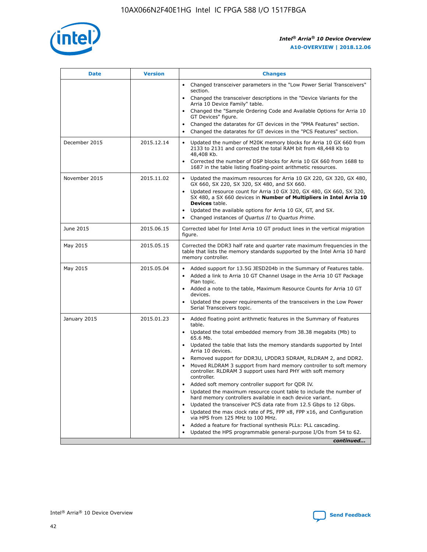

| <b>Date</b>   | <b>Version</b> | <b>Changes</b>                                                                                                                                                               |
|---------------|----------------|------------------------------------------------------------------------------------------------------------------------------------------------------------------------------|
|               |                | • Changed transceiver parameters in the "Low Power Serial Transceivers"<br>section.                                                                                          |
|               |                | • Changed the transceiver descriptions in the "Device Variants for the<br>Arria 10 Device Family" table.                                                                     |
|               |                | Changed the "Sample Ordering Code and Available Options for Arria 10<br>$\bullet$<br>GT Devices" figure.                                                                     |
|               |                | Changed the datarates for GT devices in the "PMA Features" section.                                                                                                          |
|               |                | Changed the datarates for GT devices in the "PCS Features" section.<br>$\bullet$                                                                                             |
| December 2015 | 2015.12.14     | Updated the number of M20K memory blocks for Arria 10 GX 660 from<br>2133 to 2131 and corrected the total RAM bit from 48,448 Kb to<br>48,408 Kb.                            |
|               |                | Corrected the number of DSP blocks for Arria 10 GX 660 from 1688 to<br>1687 in the table listing floating-point arithmetic resources.                                        |
| November 2015 | 2015.11.02     | Updated the maximum resources for Arria 10 GX 220, GX 320, GX 480,<br>$\bullet$<br>GX 660, SX 220, SX 320, SX 480, and SX 660.                                               |
|               |                | • Updated resource count for Arria 10 GX 320, GX 480, GX 660, SX 320,<br>SX 480, a SX 660 devices in Number of Multipliers in Intel Arria 10<br><b>Devices</b> table.        |
|               |                | Updated the available options for Arria 10 GX, GT, and SX.                                                                                                                   |
|               |                | Changed instances of Quartus II to Quartus Prime.<br>$\bullet$                                                                                                               |
| June 2015     | 2015.06.15     | Corrected label for Intel Arria 10 GT product lines in the vertical migration<br>figure.                                                                                     |
| May 2015      | 2015.05.15     | Corrected the DDR3 half rate and quarter rate maximum frequencies in the<br>table that lists the memory standards supported by the Intel Arria 10 hard<br>memory controller. |
| May 2015      | 2015.05.04     | • Added support for 13.5G JESD204b in the Summary of Features table.                                                                                                         |
|               |                | • Added a link to Arria 10 GT Channel Usage in the Arria 10 GT Package<br>Plan topic.                                                                                        |
|               |                | • Added a note to the table, Maximum Resource Counts for Arria 10 GT<br>devices.                                                                                             |
|               |                | • Updated the power requirements of the transceivers in the Low Power<br>Serial Transceivers topic.                                                                          |
| January 2015  | 2015.01.23     | • Added floating point arithmetic features in the Summary of Features<br>table.                                                                                              |
|               |                | • Updated the total embedded memory from 38.38 megabits (Mb) to<br>65.6 Mb.                                                                                                  |
|               |                | • Updated the table that lists the memory standards supported by Intel<br>Arria 10 devices.                                                                                  |
|               |                | Removed support for DDR3U, LPDDR3 SDRAM, RLDRAM 2, and DDR2.                                                                                                                 |
|               |                | Moved RLDRAM 3 support from hard memory controller to soft memory<br>controller. RLDRAM 3 support uses hard PHY with soft memory<br>controller.                              |
|               |                | Added soft memory controller support for QDR IV.<br>٠                                                                                                                        |
|               |                | Updated the maximum resource count table to include the number of<br>hard memory controllers available in each device variant.                                               |
|               |                | Updated the transceiver PCS data rate from 12.5 Gbps to 12 Gbps.<br>$\bullet$                                                                                                |
|               |                | Updated the max clock rate of PS, FPP x8, FPP x16, and Configuration<br>via HPS from 125 MHz to 100 MHz.                                                                     |
|               |                | Added a feature for fractional synthesis PLLs: PLL cascading.                                                                                                                |
|               |                | Updated the HPS programmable general-purpose I/Os from 54 to 62.<br>$\bullet$                                                                                                |
|               |                | continued                                                                                                                                                                    |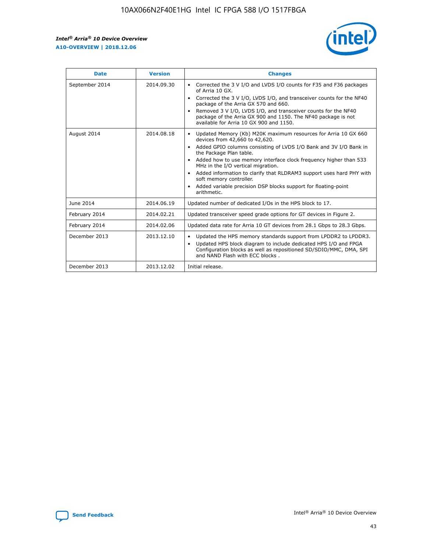r



| <b>Date</b>    | <b>Version</b> | <b>Changes</b>                                                                                                                                                                                                                                                                                                                                                                                                                                                                                                                                      |
|----------------|----------------|-----------------------------------------------------------------------------------------------------------------------------------------------------------------------------------------------------------------------------------------------------------------------------------------------------------------------------------------------------------------------------------------------------------------------------------------------------------------------------------------------------------------------------------------------------|
| September 2014 | 2014.09.30     | Corrected the 3 V I/O and LVDS I/O counts for F35 and F36 packages<br>$\bullet$<br>of Arria 10 GX.<br>Corrected the 3 V I/O, LVDS I/O, and transceiver counts for the NF40<br>$\bullet$<br>package of the Arria GX 570 and 660.<br>Removed 3 V I/O, LVDS I/O, and transceiver counts for the NF40<br>package of the Arria GX 900 and 1150. The NF40 package is not<br>available for Arria 10 GX 900 and 1150.                                                                                                                                       |
| August 2014    | 2014.08.18     | Updated Memory (Kb) M20K maximum resources for Arria 10 GX 660<br>devices from 42,660 to 42,620.<br>Added GPIO columns consisting of LVDS I/O Bank and 3V I/O Bank in<br>$\bullet$<br>the Package Plan table.<br>Added how to use memory interface clock frequency higher than 533<br>$\bullet$<br>MHz in the I/O vertical migration.<br>Added information to clarify that RLDRAM3 support uses hard PHY with<br>$\bullet$<br>soft memory controller.<br>Added variable precision DSP blocks support for floating-point<br>$\bullet$<br>arithmetic. |
| June 2014      | 2014.06.19     | Updated number of dedicated I/Os in the HPS block to 17.                                                                                                                                                                                                                                                                                                                                                                                                                                                                                            |
| February 2014  | 2014.02.21     | Updated transceiver speed grade options for GT devices in Figure 2.                                                                                                                                                                                                                                                                                                                                                                                                                                                                                 |
| February 2014  | 2014.02.06     | Updated data rate for Arria 10 GT devices from 28.1 Gbps to 28.3 Gbps.                                                                                                                                                                                                                                                                                                                                                                                                                                                                              |
| December 2013  | 2013.12.10     | Updated the HPS memory standards support from LPDDR2 to LPDDR3.<br>Updated HPS block diagram to include dedicated HPS I/O and FPGA<br>$\bullet$<br>Configuration blocks as well as repositioned SD/SDIO/MMC, DMA, SPI<br>and NAND Flash with ECC blocks.                                                                                                                                                                                                                                                                                            |
| December 2013  | 2013.12.02     | Initial release.                                                                                                                                                                                                                                                                                                                                                                                                                                                                                                                                    |